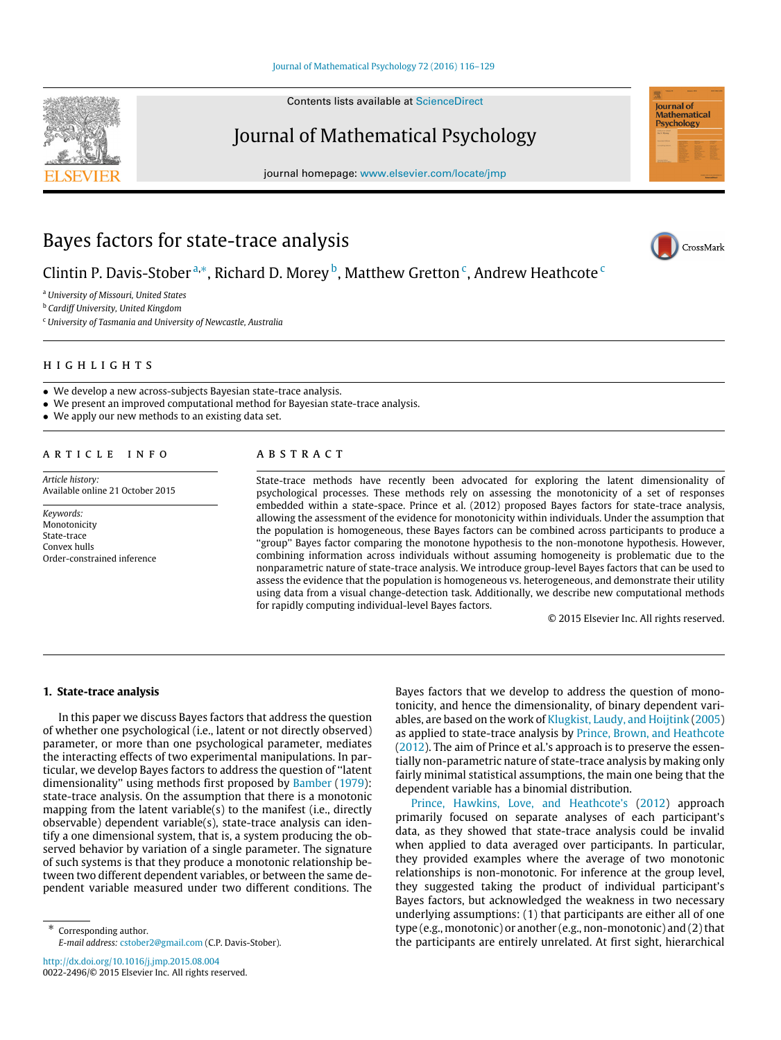# [Journal of Mathematical Psychology 72 \(2016\) 116–129](http://dx.doi.org/10.1016/j.jmp.2015.08.004)

Contents lists available at [ScienceDirect](http://www.elsevier.com/locate/jmp)

# Journal of Mathematical Psychology

journal homepage: [www.elsevier.com/locate/jmp](http://www.elsevier.com/locate/jmp)



CrossMark

# Bayes factors for state-trace analysis

Clintin P. Davis-Stober <sup>[a,](#page-0-0)</sup>\*, Richard D. Morey <sup>[b](#page-0-2)</sup>, Matthew Gretton <sup>[c](#page-0-3)</sup>, Andrew Heathcote <sup>c</sup>

<span id="page-0-0"></span><sup>a</sup> *University of Missouri, United States*

<span id="page-0-2"></span><sup>b</sup> *Cardiff University, United Kingdom*

<span id="page-0-3"></span><sup>c</sup> *University of Tasmania and University of Newcastle, Australia*

# h i g h l i g h t s

• We develop a new across-subjects Bayesian state-trace analysis.

• We present an improved computational method for Bayesian state-trace analysis.

• We apply our new methods to an existing data set.

### A R T I C L E I N F O

*Article history:* Available online 21 October 2015

*Keywords:* Monotonicity State-trace Convex hulls Order-constrained inference

# a b s t r a c t

State-trace methods have recently been advocated for exploring the latent dimensionality of psychological processes. These methods rely on assessing the monotonicity of a set of responses embedded within a state-space. Prince et al. (2012) proposed Bayes factors for state-trace analysis, allowing the assessment of the evidence for monotonicity within individuals. Under the assumption that the population is homogeneous, these Bayes factors can be combined across participants to produce a ''group'' Bayes factor comparing the monotone hypothesis to the non-monotone hypothesis. However, combining information across individuals without assuming homogeneity is problematic due to the nonparametric nature of state-trace analysis. We introduce group-level Bayes factors that can be used to assess the evidence that the population is homogeneous vs. heterogeneous, and demonstrate their utility using data from a visual change-detection task. Additionally, we describe new computational methods for rapidly computing individual-level Bayes factors.

© 2015 Elsevier Inc. All rights reserved.

**1. State-trace analysis**

In this paper we discuss Bayes factors that address the question of whether one psychological (i.e., latent or not directly observed) parameter, or more than one psychological parameter, mediates the interacting effects of two experimental manipulations. In particular, we develop Bayes factors to address the question of ''latent dimensionality'' using methods first proposed by [Bamber](#page-12-0) [\(1979\)](#page-12-0): state-trace analysis. On the assumption that there is a monotonic mapping from the latent variable(s) to the manifest (i.e., directly observable) dependent variable(s), state-trace analysis can identify a one dimensional system, that is, a system producing the observed behavior by variation of a single parameter. The signature of such systems is that they produce a monotonic relationship between two different dependent variables, or between the same dependent variable measured under two different conditions. The

<span id="page-0-1"></span>∗ Corresponding author. *E-mail address:* [cstober2@gmail.com](mailto:cstober2@gmail.com) (C.P. Davis-Stober). Bayes factors that we develop to address the question of monotonicity, and hence the dimensionality, of binary dependent variables, are based on the work of [Klugkist,](#page-13-0) [Laudy,](#page-13-0) [and](#page-13-0) [Hoijtink](#page-13-0) [\(2005\)](#page-13-0) as applied to state-trace analysis by [Prince,](#page-13-1) [Brown,](#page-13-1) [and](#page-13-1) [Heathcote](#page-13-1) [\(2012\)](#page-13-1). The aim of Prince et al.'s approach is to preserve the essentially non-parametric nature of state-trace analysis by making only fairly minimal statistical assumptions, the main one being that the dependent variable has a binomial distribution.

[Prince,](#page-13-2) [Hawkins,](#page-13-2) [Love,](#page-13-2) [and](#page-13-2) [Heathcote's](#page-13-2) [\(2012\)](#page-13-3) approach primarily focused on separate analyses of each participant's data, as they showed that state-trace analysis could be invalid when applied to data averaged over participants. In particular, they provided examples where the average of two monotonic relationships is non-monotonic. For inference at the group level, they suggested taking the product of individual participant's Bayes factors, but acknowledged the weakness in two necessary underlying assumptions: (1) that participants are either all of one type (e.g., monotonic) or another (e.g., non-monotonic) and (2) that the participants are entirely unrelated. At first sight, hierarchical

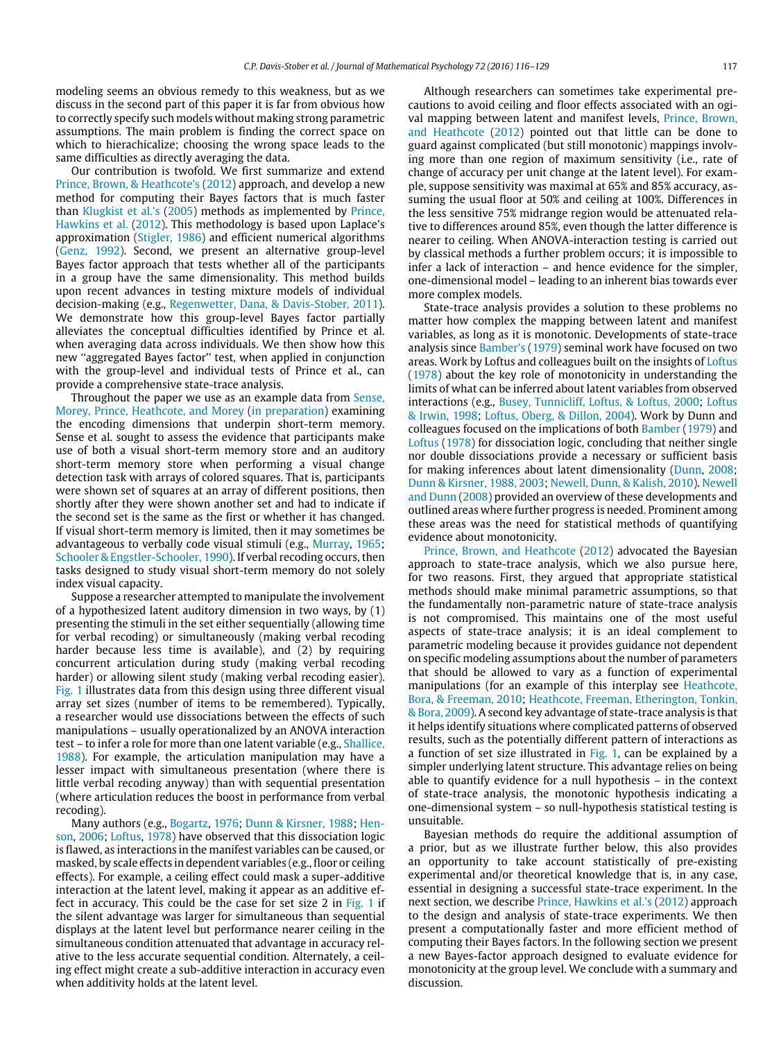modeling seems an obvious remedy to this weakness, but as we discuss in the second part of this paper it is far from obvious how to correctly specify such models without making strong parametric assumptions. The main problem is finding the correct space on which to hierachicalize; choosing the wrong space leads to the same difficulties as directly averaging the data.

Our contribution is twofold. We first summarize and extend [Prince,](#page-13-3) [Brown,](#page-13-3) [&](#page-13-3) [Heathcote's](#page-13-3) [\(2012\)](#page-13-3) approach, and develop a new method for computing their Bayes factors that is much faster than [Klugkist](#page-13-0) [et al.'s](#page-13-0) [\(2005\)](#page-13-0) methods as implemented by [Prince,](#page-13-3) [Hawkins](#page-13-3) [et al.](#page-13-3) [\(2012\)](#page-13-3). This methodology is based upon Laplace's approximation [\(Stigler,](#page-13-4) [1986\)](#page-13-4) and efficient numerical algorithms [\(Genz,](#page-13-5) [1992\)](#page-13-5). Second, we present an alternative group-level Bayes factor approach that tests whether all of the participants in a group have the same dimensionality. This method builds upon recent advances in testing mixture models of individual decision-making (e.g., [Regenwetter,](#page-13-6) [Dana,](#page-13-6) [&](#page-13-6) [Davis-Stober,](#page-13-6) [2011\)](#page-13-6). We demonstrate how this group-level Bayes factor partially alleviates the conceptual difficulties identified by Prince et al. when averaging data across individuals. We then show how this new ''aggregated Bayes factor'' test, when applied in conjunction with the group-level and individual tests of Prince et al., can provide a comprehensive state-trace analysis.

Throughout the paper we use as an example data from [Sense,](#page-13-7) [Morey,](#page-13-7) [Prince,](#page-13-7) [Heathcote,](#page-13-7) [and](#page-13-7) [Morey](#page-13-7) [\(in preparation\)](#page-13-7) examining the encoding dimensions that underpin short-term memory. Sense et al. sought to assess the evidence that participants make use of both a visual short-term memory store and an auditory short-term memory store when performing a visual change detection task with arrays of colored squares. That is, participants were shown set of squares at an array of different positions, then shortly after they were shown another set and had to indicate if the second set is the same as the first or whether it has changed. If visual short-term memory is limited, then it may sometimes be advantageous to verbally code visual stimuli (e.g., [Murray,](#page-13-8) [1965;](#page-13-8) [Schooler](#page-13-9) [&](#page-13-9) [Engstler-Schooler,](#page-13-9) [1990\)](#page-13-9). If verbal recoding occurs, then tasks designed to study visual short-term memory do not solely index visual capacity.

Suppose a researcher attempted to manipulate the involvement of a hypothesized latent auditory dimension in two ways, by (1) presenting the stimuli in the set either sequentially (allowing time for verbal recoding) or simultaneously (making verbal recoding harder because less time is available), and (2) by requiring concurrent articulation during study (making verbal recoding harder) or allowing silent study (making verbal recoding easier). [Fig. 1](#page-2-0) illustrates data from this design using three different visual array set sizes (number of items to be remembered). Typically, a researcher would use dissociations between the effects of such manipulations – usually operationalized by an ANOVA interaction test – to infer a role for more than one latent variable (e.g., [Shallice,](#page-13-10) [1988\)](#page-13-10). For example, the articulation manipulation may have a lesser impact with simultaneous presentation (where there is little verbal recoding anyway) than with sequential presentation (where articulation reduces the boost in performance from verbal recoding).

Many authors (e.g., [Bogartz,](#page-12-1) [1976;](#page-12-1) [Dunn](#page-12-2) [&](#page-12-2) [Kirsner,](#page-12-2) [1988;](#page-12-2) [Hen](#page-13-11)[son,](#page-13-11) [2006;](#page-13-11) [Loftus,](#page-13-12) [1978\)](#page-13-12) have observed that this dissociation logic is flawed, as interactions in the manifest variables can be caused, or masked, by scale effects in dependent variables (e.g., floor or ceiling effects). For example, a ceiling effect could mask a super-additive interaction at the latent level, making it appear as an additive effect in accuracy. This could be the case for set size 2 in [Fig. 1](#page-2-0) if the silent advantage was larger for simultaneous than sequential displays at the latent level but performance nearer ceiling in the simultaneous condition attenuated that advantage in accuracy relative to the less accurate sequential condition. Alternately, a ceiling effect might create a sub-additive interaction in accuracy even when additivity holds at the latent level.

Although researchers can sometimes take experimental precautions to avoid ceiling and floor effects associated with an ogival mapping between latent and manifest levels, [Prince,](#page-13-1) [Brown,](#page-13-1) [and](#page-13-1) [Heathcote](#page-13-1) [\(2012\)](#page-13-1) pointed out that little can be done to guard against complicated (but still monotonic) mappings involving more than one region of maximum sensitivity (i.e., rate of change of accuracy per unit change at the latent level). For example, suppose sensitivity was maximal at 65% and 85% accuracy, assuming the usual floor at 50% and ceiling at 100%. Differences in the less sensitive 75% midrange region would be attenuated relative to differences around 85%, even though the latter difference is nearer to ceiling. When ANOVA-interaction testing is carried out by classical methods a further problem occurs; it is impossible to infer a lack of interaction – and hence evidence for the simpler, one-dimensional model – leading to an inherent bias towards ever more complex models.

State-trace analysis provides a solution to these problems no matter how complex the mapping between latent and manifest variables, as long as it is monotonic. Developments of state-trace analysis since [Bamber's](#page-12-0) [\(1979\)](#page-12-0) seminal work have focused on two areas. Work by Loftus and colleagues built on the insights of [Loftus](#page-13-12) [\(1978\)](#page-13-12) about the key role of monotonicity in understanding the limits of what can be inferred about latent variables from observed interactions (e.g., [Busey,](#page-12-3) [Tunnicliff,](#page-12-3) [Loftus,](#page-12-3) [&](#page-12-3) [Loftus,](#page-12-3) [2000;](#page-12-3) [Loftus](#page-13-13) [&](#page-13-13) [Irwin,](#page-13-13) [1998;](#page-13-13) [Loftus,](#page-13-14) [Oberg,](#page-13-14) [&](#page-13-14) [Dillon,](#page-13-14) [2004\)](#page-13-14). Work by Dunn and colleagues focused on the implications of both [Bamber](#page-12-0) [\(1979\)](#page-12-0) and [Loftus](#page-13-12) [\(1978\)](#page-13-12) for dissociation logic, concluding that neither single nor double dissociations provide a necessary or sufficient basis for making inferences about latent dimensionality [\(Dunn,](#page-12-4) [2008;](#page-12-4) [Dunn](#page-12-2) [&](#page-12-2) [Kirsner,](#page-12-2) [1988,](#page-12-2) [2003;](#page-12-5) [Newell,](#page-13-15) [Dunn,](#page-13-15) [&](#page-13-15) [Kalish,](#page-13-15) [2010\)](#page-13-15). [Newell](#page-13-16) [and](#page-13-16) [Dunn](#page-13-16) [\(2008\)](#page-13-16) provided an overview of these developments and outlined areas where further progress is needed. Prominent among these areas was the need for statistical methods of quantifying evidence about monotonicity.

[Prince,](#page-13-1) [Brown,](#page-13-1) [and](#page-13-1) [Heathcote](#page-13-1) [\(2012\)](#page-13-1) advocated the Bayesian approach to state-trace analysis, which we also pursue here, for two reasons. First, they argued that appropriate statistical methods should make minimal parametric assumptions, so that the fundamentally non-parametric nature of state-trace analysis is not compromised. This maintains one of the most useful aspects of state-trace analysis; it is an ideal complement to parametric modeling because it provides guidance not dependent on specific modeling assumptions about the number of parameters that should be allowed to vary as a function of experimental manipulations (for an example of this interplay see [Heathcote,](#page-13-17) [Bora,](#page-13-17) [&](#page-13-17) [Freeman,](#page-13-17) [2010;](#page-13-17) [Heathcote,](#page-13-18) [Freeman,](#page-13-18) [Etherington,](#page-13-18) [Tonkin,](#page-13-18) [&](#page-13-18) [Bora,](#page-13-18) [2009\)](#page-13-18). A second key advantage of state-trace analysis is that it helps identify situations where complicated patterns of observed results, such as the potentially different pattern of interactions as a function of set size illustrated in  $Fig. 1$ , can be explained by a simpler underlying latent structure. This advantage relies on being able to quantify evidence for a null hypothesis – in the context of state-trace analysis, the monotonic hypothesis indicating a one-dimensional system – so null-hypothesis statistical testing is unsuitable.

Bayesian methods do require the additional assumption of a prior, but as we illustrate further below, this also provides an opportunity to take account statistically of pre-existing experimental and/or theoretical knowledge that is, in any case, essential in designing a successful state-trace experiment. In the next section, we describe [Prince,](#page-13-2) [Hawkins](#page-13-2) [et al.'s](#page-13-2) [\(2012\)](#page-13-2) approach to the design and analysis of state-trace experiments. We then present a computationally faster and more efficient method of computing their Bayes factors. In the following section we present a new Bayes-factor approach designed to evaluate evidence for monotonicity at the group level. We conclude with a summary and discussion.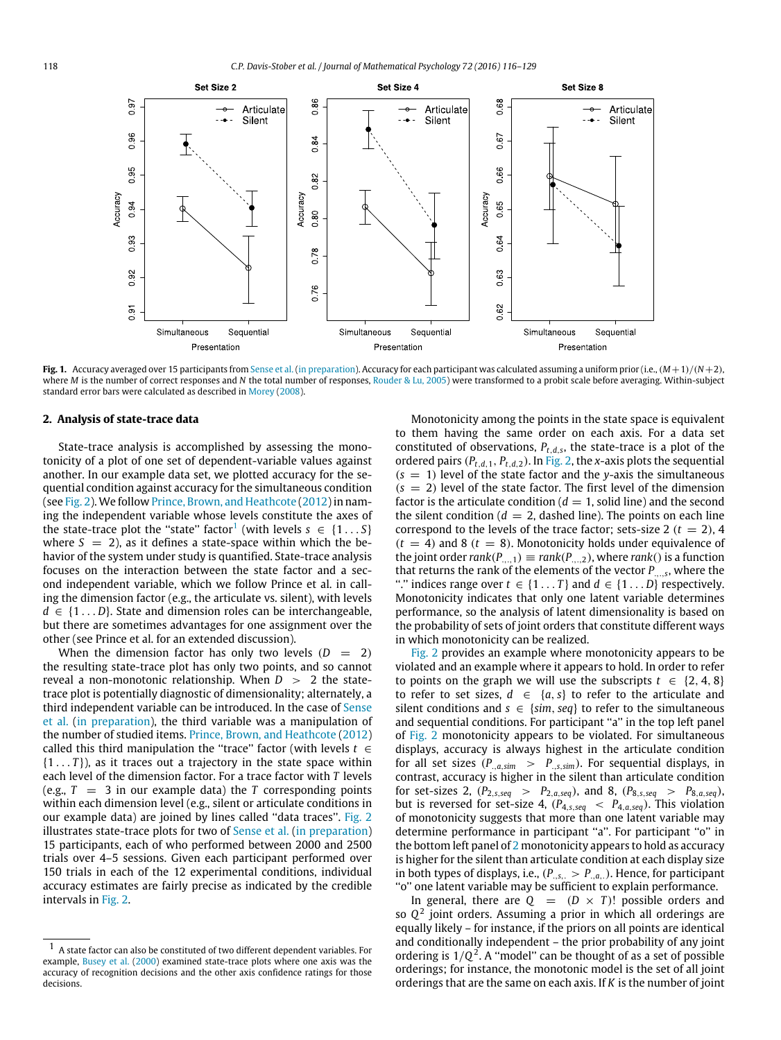<span id="page-2-0"></span>

**Fig. 1.** Accuracy averaged over 15 participants from [Sense](#page-13-7) [et al.](#page-13-7) [\(in preparation\)](#page-13-7). Accuracy for each participant was calculated assuming a uniform prior (i.e.,(*M* +1)/(*N*+2), where *M* is the number of correct responses and *N* the total number of responses, [Rouder](#page-13-19) [&](#page-13-19) [Lu,](#page-13-19) [2005\)](#page-13-19) were transformed to a probit scale before averaging. Within-subject standard error bars were calculated as described in [Morey](#page-13-20) [\(2008\)](#page-13-20).

## **2. Analysis of state-trace data**

State-trace analysis is accomplished by assessing the monotonicity of a plot of one set of dependent-variable values against another. In our example data set, we plotted accuracy for the sequential condition against accuracy for the simultaneous condition (see [Fig. 2\)](#page-3-0). We follow [Prince,](#page-13-1) [Brown,](#page-13-1) [and](#page-13-1) [Heathcote](#page-13-1) [\(2012\)](#page-13-1) in naming the independent variable whose levels constitute the axes of the state-trace plot the "state" factor<sup>[1](#page-2-1)</sup> (with levels  $s \in \{1...S\}$ where  $S = 2$ ), as it defines a state-space within which the behavior of the system under study is quantified. State-trace analysis focuses on the interaction between the state factor and a second independent variable, which we follow Prince et al. in calling the dimension factor (e.g., the articulate vs. silent), with levels  $d \in \{1...D\}$ . State and dimension roles can be interchangeable, but there are sometimes advantages for one assignment over the other (see Prince et al. for an extended discussion).

When the dimension factor has only two levels  $(D = 2)$ the resulting state-trace plot has only two points, and so cannot reveal a non-monotonic relationship. When  $D > 2$  the statetrace plot is potentially diagnostic of dimensionality; alternately, a third independent variable can be introduced. In the case of [Sense](#page-13-7) [et al.](#page-13-7) [\(in preparation\)](#page-13-7), the third variable was a manipulation of the number of studied items. [Prince,](#page-13-1) [Brown,](#page-13-1) [and](#page-13-1) [Heathcote](#page-13-1) [\(2012\)](#page-13-1) called this third manipulation the "trace" factor (with levels  $t \in$  $\{1 \dots T\}$ , as it traces out a trajectory in the state space within each level of the dimension factor. For a trace factor with *T* levels (e.g.,  $T = 3$  in our example data) the *T* corresponding points within each dimension level (e.g., silent or articulate conditions in our example data) are joined by lines called ''data traces''. [Fig. 2](#page-3-0) illustrates state-trace plots for two of [Sense](#page-13-8) [et al.](#page-13-8) [\(in preparation\)](#page-13-8) 15 participants, each of who performed between 2000 and 2500 trials over 4–5 sessions. Given each participant performed over 150 trials in each of the 12 experimental conditions, individual accuracy estimates are fairly precise as indicated by the credible intervals in [Fig. 2.](#page-3-0)

Monotonicity among the points in the state space is equivalent to them having the same order on each axis. For a data set constituted of observations,  $P_{t,d,s}$ , the state-trace is a plot of the ordered pairs  $(P_{t,d,1}, P_{t,d,2})$ . In [Fig. 2,](#page-3-0) the *x*-axis plots the sequential  $(s = 1)$  level of the state factor and the *y*-axis the simultaneous (*s* = 2) level of the state factor. The first level of the dimension factor is the articulate condition  $(d = 1,$  solid line) and the second the silent condition  $(d = 2)$ , dashed line). The points on each line correspond to the levels of the trace factor; sets-size  $2(t = 2)$ , 4  $(t = 4)$  and 8  $(t = 8)$ . Monotonicity holds under equivalence of the joint order  $rank(P_{n+1}) \equiv rank(P_{n+2})$ , where  $rank()$  is a function that returns the rank of the elements of the vector *P*.,.,*<sup>s</sup>* , where the "." indices range over  $t \in \{1 \dots T\}$  and  $d \in \{1 \dots D\}$  respectively. Monotonicity indicates that only one latent variable determines performance, so the analysis of latent dimensionality is based on the probability of sets of joint orders that constitute different ways in which monotonicity can be realized.

[Fig. 2](#page-3-0) provides an example where monotonicity appears to be violated and an example where it appears to hold. In order to refer to points on the graph we will use the subscripts  $t \in \{2, 4, 8\}$ to refer to set sizes,  $d \in \{a, s\}$  to refer to the articulate and silent conditions and  $s \in \{sim, seq\}$  to refer to the simultaneous and sequential conditions. For participant ''a'' in the top left panel of [Fig. 2](#page-3-0) monotonicity appears to be violated. For simultaneous displays, accuracy is always highest in the articulate condition for all set sizes (*P*.,*a*,*sim* > *P*.,*s*,*sim*). For sequential displays, in contrast, accuracy is higher in the silent than articulate condition for set-sizes 2,  $(P_{2,s,seq} > P_{2,a,seq})$ , and 8,  $(P_{8,s,seq} > P_{8,a,seq})$ , but is reversed for set-size 4,  $(P_{4,s,seq} < P_{4,a,seq})$ . This violation of monotonicity suggests that more than one latent variable may determine performance in participant ''a''. For participant ''o'' in the bottom left panel of [2](#page-3-0) monotonicity appears to hold as accuracy is higher for the silent than articulate condition at each display size in both types of displays, i.e., (*P*.,*s*,. > *P*.,*a*,.). Hence, for participant ''o'' one latent variable may be sufficient to explain performance.

In general, there are  $Q = (D \times T)!$  possible orders and so *Q* 2 joint orders. Assuming a prior in which all orderings are equally likely – for instance, if the priors on all points are identical and conditionally independent – the prior probability of any joint ordering is  $1/Q^2$ . A "model" can be thought of as a set of possible orderings; for instance, the monotonic model is the set of all joint orderings that are the same on each axis. If *K* is the number of joint

<span id="page-2-1"></span> $1$  A state factor can also be constituted of two different dependent variables. For example, [Busey](#page-12-3) [et al.](#page-12-3) [\(2000\)](#page-12-3) examined state-trace plots where one axis was the accuracy of recognition decisions and the other axis confidence ratings for those decisions.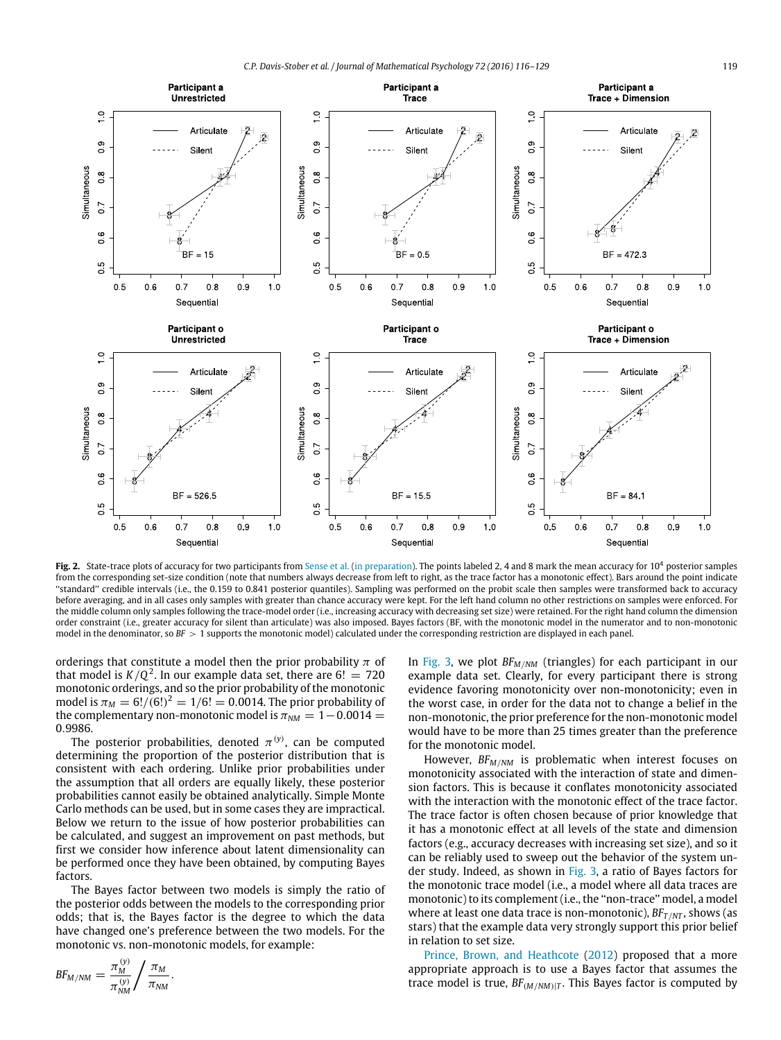<span id="page-3-0"></span>

Fig. 2. State-trace plots of accuracy for two participants from [Sense](#page-13-7) [et al.](#page-13-7) [\(in preparation\)](#page-13-7). The points labeled 2, 4 and 8 mark the mean accuracy for 10<sup>4</sup> posterior samples from the corresponding set-size condition (note that numbers always decrease from left to right, as the trace factor has a monotonic effect). Bars around the point indicate ''standard'' credible intervals (i.e., the 0.159 to 0.841 posterior quantiles). Sampling was performed on the probit scale then samples were transformed back to accuracy before averaging, and in all cases only samples with greater than chance accuracy were kept. For the left hand column no other restrictions on samples were enforced. For the middle column only samples following the trace-model order (i.e., increasing accuracy with decreasing set size) were retained. For the right hand column the dimension order constraint (i.e., greater accuracy for silent than articulate) was also imposed. Bayes factors (BF, with the monotonic model in the numerator and to non-monotonic model in the denominator, so  $BF > 1$  supports the monotonic model) calculated under the corresponding restriction are displayed in each panel.

orderings that constitute a model then the prior probability  $\pi$  of that model is  $K/Q^2$ . In our example data set, there are 6!  $= 720$ monotonic orderings, and so the prior probability of the monotonic model is  $\pi_M = 6!/(6!)^2 = 1/6! = 0.0014$ . The prior probability of the complementary non-monotonic model is  $\pi_{NM} = 1 - 0.0014 =$ 0.9986.

The posterior probabilities, denoted  $\pi^{(y)}$ , can be computed determining the proportion of the posterior distribution that is consistent with each ordering. Unlike prior probabilities under the assumption that all orders are equally likely, these posterior probabilities cannot easily be obtained analytically. Simple Monte Carlo methods can be used, but in some cases they are impractical. Below we return to the issue of how posterior probabilities can be calculated, and suggest an improvement on past methods, but first we consider how inference about latent dimensionality can be performed once they have been obtained, by computing Bayes factors.

The Bayes factor between two models is simply the ratio of the posterior odds between the models to the corresponding prior odds; that is, the Bayes factor is the degree to which the data have changed one's preference between the two models. For the monotonic vs. non-monotonic models, for example:

$$
BF_{M/NM} = \frac{\pi_M^{(y)}}{\pi_{NM}^{(y)}} / \frac{\pi_M}{\pi_{NM}}.
$$

In [Fig. 3,](#page-4-0) we plot *BFM*/*NM* (triangles) for each participant in our example data set. Clearly, for every participant there is strong evidence favoring monotonicity over non-monotonicity; even in the worst case, in order for the data not to change a belief in the non-monotonic, the prior preference for the non-monotonic model would have to be more than 25 times greater than the preference for the monotonic model.

However, *BFM*/*NM* is problematic when interest focuses on monotonicity associated with the interaction of state and dimension factors. This is because it conflates monotonicity associated with the interaction with the monotonic effect of the trace factor. The trace factor is often chosen because of prior knowledge that it has a monotonic effect at all levels of the state and dimension factors (e.g., accuracy decreases with increasing set size), and so it can be reliably used to sweep out the behavior of the system under study. Indeed, as shown in [Fig. 3,](#page-4-0) a ratio of Bayes factors for the monotonic trace model (i.e., a model where all data traces are monotonic) to its complement (i.e., the ''non-trace'' model, a model where at least one data trace is non-monotonic),  $BF_{T/NT}$ , shows (as stars) that the example data very strongly support this prior belief in relation to set size.

[Prince,](#page-13-1) [Brown,](#page-13-1) [and](#page-13-1) [Heathcote](#page-13-1) [\(2012\)](#page-13-1) proposed that a more appropriate approach is to use a Bayes factor that assumes the trace model is true, *BF*(*M*/*NM*)|*<sup>T</sup>* . This Bayes factor is computed by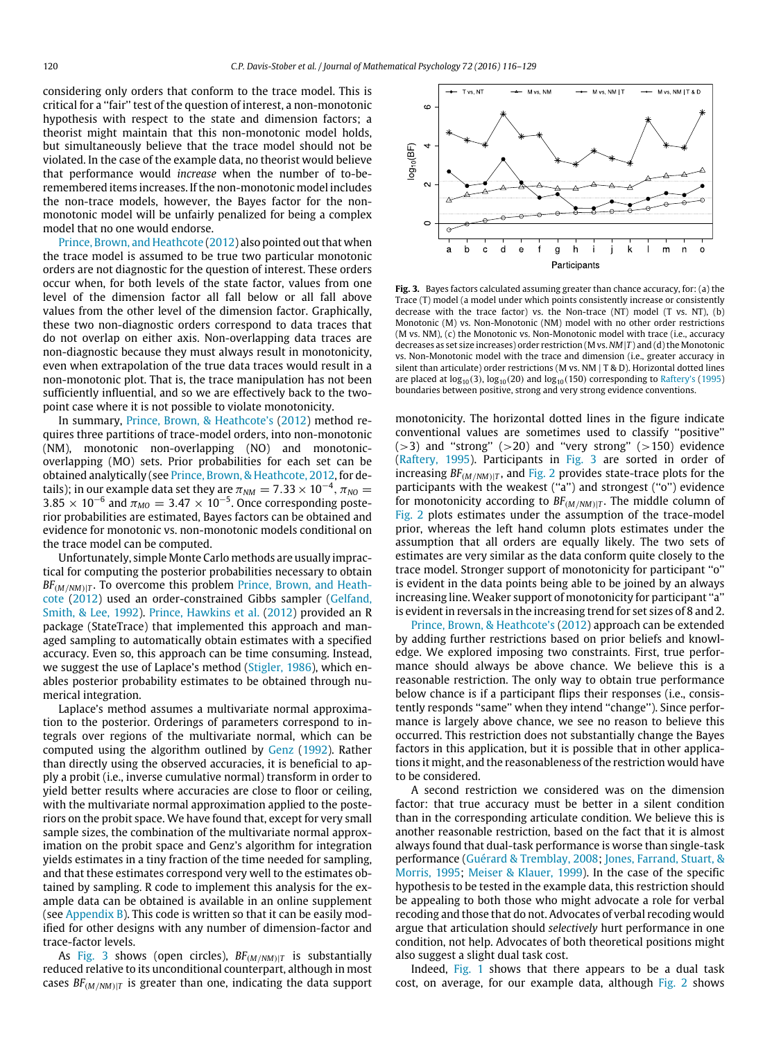considering only orders that conform to the trace model. This is critical for a ''fair'' test of the question of interest, a non-monotonic hypothesis with respect to the state and dimension factors; a theorist might maintain that this non-monotonic model holds, but simultaneously believe that the trace model should not be violated. In the case of the example data, no theorist would believe that performance would *increase* when the number of to-beremembered items increases. If the non-monotonic model includes the non-trace models, however, the Bayes factor for the nonmonotonic model will be unfairly penalized for being a complex model that no one would endorse.

[Prince,](#page-13-1) [Brown,](#page-13-1) [and](#page-13-1) [Heathcote](#page-13-1) [\(2012\)](#page-13-1) also pointed out that when the trace model is assumed to be true two particular monotonic orders are not diagnostic for the question of interest. These orders occur when, for both levels of the state factor, values from one level of the dimension factor all fall below or all fall above values from the other level of the dimension factor. Graphically, these two non-diagnostic orders correspond to data traces that do not overlap on either axis. Non-overlapping data traces are non-diagnostic because they must always result in monotonicity, even when extrapolation of the true data traces would result in a non-monotonic plot. That is, the trace manipulation has not been sufficiently influential, and so we are effectively back to the twopoint case where it is not possible to violate monotonicity.

In summary, [Prince,](#page-13-3) [Brown,](#page-13-3) [&](#page-13-3) [Heathcote's](#page-13-3) [\(2012\)](#page-13-3) method requires three partitions of trace-model orders, into non-monotonic (NM), monotonic non-overlapping (NO) and monotonicoverlapping (MO) sets. Prior probabilities for each set can be obtained analytically (see [Prince,](#page-13-1) [Brown,](#page-13-1) [&](#page-13-1) [Heathcote,](#page-13-1) [2012,](#page-13-1) for details); in our example data set they are  $\pi_{NM} = 7.33 \times 10^{-4}$ ,  $\pi_{NO} =$  $3.85 \times 10^{-6}$  and  $\pi_{M0} = 3.47 \times 10^{-5}$ . Once corresponding posterior probabilities are estimated, Bayes factors can be obtained and evidence for monotonic vs. non-monotonic models conditional on the trace model can be computed.

Unfortunately, simple Monte Carlo methods are usually impractical for computing the posterior probabilities necessary to obtain *[B](#page-13-1)F*(*M*/*NM*)|*<sup>T</sup>* . To overcome this problem [Prince,](#page-13-1) [Brown,](#page-13-1) [and](#page-13-1) [Heath](#page-13-1)[cote](#page-13-1) [\(2012\)](#page-13-1) used an order-constrained Gibbs sampler [\(Gelfand,](#page-13-21) [Smith,](#page-13-21) [&](#page-13-21) [Lee,](#page-13-21) [1992\)](#page-13-21). [Prince,](#page-13-3) [Hawkins](#page-13-3) [et al.](#page-13-3) [\(2012\)](#page-13-3) provided an R package (StateTrace) that implemented this approach and managed sampling to automatically obtain estimates with a specified accuracy. Even so, this approach can be time consuming. Instead, we suggest the use of Laplace's method [\(Stigler,](#page-13-4) [1986\)](#page-13-4), which enables posterior probability estimates to be obtained through numerical integration.

Laplace's method assumes a multivariate normal approximation to the posterior. Orderings of parameters correspond to integrals over regions of the multivariate normal, which can be computed using the algorithm outlined by [Genz](#page-13-5) [\(1992\)](#page-13-5). Rather than directly using the observed accuracies, it is beneficial to apply a probit (i.e., inverse cumulative normal) transform in order to yield better results where accuracies are close to floor or ceiling, with the multivariate normal approximation applied to the posteriors on the probit space. We have found that, except for very small sample sizes, the combination of the multivariate normal approximation on the probit space and Genz's algorithm for integration yields estimates in a tiny fraction of the time needed for sampling, and that these estimates correspond very well to the estimates obtained by sampling. R code to implement this analysis for the example data can be obtained is available in an online supplement (see [Appendix B\)](#page-12-6). This code is written so that it can be easily modified for other designs with any number of dimension-factor and trace-factor levels.

As [Fig. 3](#page-4-0) shows (open circles), *BF*(*M*/*NM*)|*<sup>T</sup>* is substantially reduced relative to its unconditional counterpart, although in most cases  $BF_{(M/NM)|T}$  is greater than one, indicating the data support

<span id="page-4-0"></span>

**Fig. 3.** Bayes factors calculated assuming greater than chance accuracy, for: (a) the Trace (T) model (a model under which points consistently increase or consistently decrease with the trace factor) vs. the Non-trace (NT) model (T vs. NT), (b) Monotonic (M) vs. Non-Monotonic (NM) model with no other order restrictions  $(M \text{ vs } NM)$ , (c) the Monotonic vs. Non-Monotonic model with trace (i.e., accuracy decreases as set size increases) order restriction (M vs. *NM*|*T* ) and (d) the Monotonic vs. Non-Monotonic model with the trace and dimension (i.e., greater accuracy in silent than articulate) order restrictions (M vs. NM | T & D). Horizontal dotted lines are placed at  $log_{10}(3)$ ,  $log_{10}(20)$  and  $log_{10}(150)$  corresponding to [Raftery's](#page-13-6) [\(1995\)](#page-13-6) boundaries between positive, strong and very strong evidence conventions.

monotonicity. The horizontal dotted lines in the figure indicate conventional values are sometimes used to classify ''positive''  $(>3)$  and "strong"  $(>20)$  and "very strong"  $(>150)$  evidence [\(Raftery,](#page-13-2) [1995\)](#page-13-2). Participants in [Fig. 3](#page-4-0) are sorted in order of increasing *BF*(*M*/*NM*)|*<sup>T</sup>* , and [Fig. 2](#page-3-0) provides state-trace plots for the participants with the weakest (''a'') and strongest (''o'') evidence for monotonicity according to  $BF_{(M/NM)|T}$ . The middle column of [Fig. 2](#page-3-0) plots estimates under the assumption of the trace-model prior, whereas the left hand column plots estimates under the assumption that all orders are equally likely. The two sets of estimates are very similar as the data conform quite closely to the trace model. Stronger support of monotonicity for participant ''o'' is evident in the data points being able to be joined by an always increasing line. Weaker support of monotonicity for participant ''a'' is evident in reversals in the increasing trend for set sizes of 8 and 2.

[Prince,](#page-13-3) [Brown,](#page-13-3) [&](#page-13-3) [Heathcote's](#page-13-3) [\(2012\)](#page-13-3) approach can be extended by adding further restrictions based on prior beliefs and knowledge. We explored imposing two constraints. First, true performance should always be above chance. We believe this is a reasonable restriction. The only way to obtain true performance below chance is if a participant flips their responses (i.e., consistently responds "same" when they intend "change"). Since performance is largely above chance, we see no reason to believe this occurred. This restriction does not substantially change the Bayes factors in this application, but it is possible that in other applications it might, and the reasonableness of the restriction would have to be considered.

A second restriction we considered was on the dimension factor: that true accuracy must be better in a silent condition than in the corresponding articulate condition. We believe this is another reasonable restriction, based on the fact that it is almost always found that dual-task performance is worse than single-task performance [\(Guérard](#page-13-22) [&](#page-13-22) [Tremblay,](#page-13-22) [2008;](#page-13-22) [Jones,](#page-13-23) [Farrand,](#page-13-23) [Stuart,](#page-13-23) [&](#page-13-23) [Morris,](#page-13-23) [1995;](#page-13-23) [Meiser](#page-13-24) [&](#page-13-24) [Klauer,](#page-13-24) [1999\)](#page-13-24). In the case of the specific hypothesis to be tested in the example data, this restriction should be appealing to both those who might advocate a role for verbal recoding and those that do not. Advocates of verbal recoding would argue that articulation should *selectively* hurt performance in one condition, not help. Advocates of both theoretical positions might also suggest a slight dual task cost.

Indeed, [Fig. 1](#page-2-0) shows that there appears to be a dual task cost, on average, for our example data, although [Fig. 2](#page-3-0) shows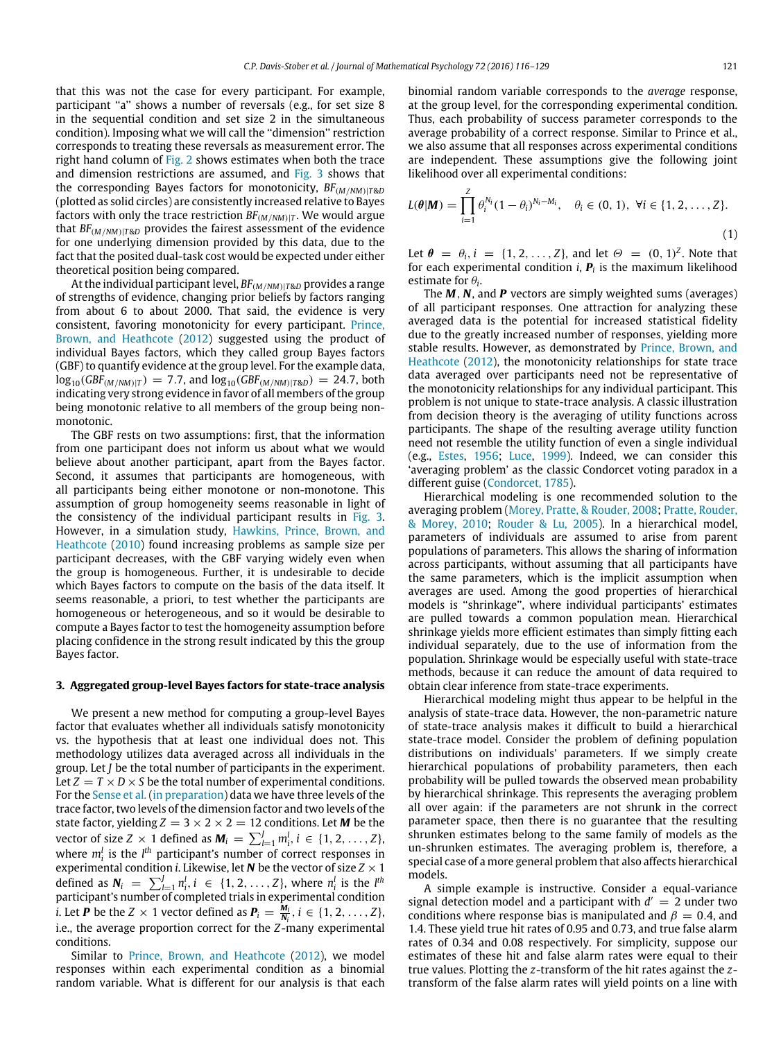that this was not the case for every participant. For example, participant "a" shows a number of reversals (e.g., for set size 8 in the sequential condition and set size 2 in the simultaneous condition). Imposing what we will call the ''dimension'' restriction corresponds to treating these reversals as measurement error. The right hand column of [Fig. 2](#page-3-0) shows estimates when both the trace and dimension restrictions are assumed, and [Fig. 3](#page-4-0) shows that the corresponding Bayes factors for monotonicity, *BF*(*M*/*NM*)|*T*&*<sup>D</sup>* (plotted as solid circles) are consistently increased relative to Bayes factors with only the trace restriction  $BF_{(M/NM)|T}$ . We would argue that *BF*(*M*/*NM*)|*T*&*<sup>D</sup>* provides the fairest assessment of the evidence for one underlying dimension provided by this data, due to the fact that the posited dual-task cost would be expected under either theoretical position being compared.

At the individual participant level, *BF*(*M*/*NM*)|*T*&*<sup>D</sup>* provides a range of strengths of evidence, changing prior beliefs by factors ranging from about 6 to about 2000. That said, the evidence is very consistent, favoring monotonicity for every participant. [Prince,](#page-13-1) [Brown,](#page-13-1) [and](#page-13-1) [Heathcote](#page-13-1) [\(2012\)](#page-13-1) suggested using the product of individual Bayes factors, which they called group Bayes factors (GBF) to quantify evidence at the group level. For the example data,  $log_{10}(GBF_{(M/NM)|T}) = 7.7$ , and  $log_{10}(GBF_{(M/NM)|T\&D}) = 24.7$ , both indicating very strong evidence in favor of all members of the group being monotonic relative to all members of the group being nonmonotonic.

The GBF rests on two assumptions: first, that the information from one participant does not inform us about what we would believe about another participant, apart from the Bayes factor. Second, it assumes that participants are homogeneous, with all participants being either monotone or non-monotone. This assumption of group homogeneity seems reasonable in light of the consistency of the individual participant results in [Fig. 3.](#page-4-0) However, in a simulation study, [Hawkins,](#page-13-25) [Prince,](#page-13-25) [Brown,](#page-13-25) [and](#page-13-25) [Heathcote](#page-13-25) [\(2010\)](#page-13-25) found increasing problems as sample size per participant decreases, with the GBF varying widely even when the group is homogeneous. Further, it is undesirable to decide which Bayes factors to compute on the basis of the data itself. It seems reasonable, a priori, to test whether the participants are homogeneous or heterogeneous, and so it would be desirable to compute a Bayes factor to test the homogeneity assumption before placing confidence in the strong result indicated by this the group Bayes factor.

## **3. Aggregated group-level Bayes factors for state-trace analysis**

We present a new method for computing a group-level Bayes factor that evaluates whether all individuals satisfy monotonicity vs. the hypothesis that at least one individual does not. This methodology utilizes data averaged across all individuals in the group. Let *J* be the total number of participants in the experiment. Let  $Z = T \times D \times S$  be the total number of experimental conditions. For the [Sense](#page-13-7) [et al.](#page-13-7) [\(in preparation\)](#page-13-7) data we have three levels of the trace factor, two levels of the dimension factor and two levels of the state factor, yielding  $Z = 3 \times 2 \times 2 = 12$  conditions. Let M be the vector of size Z  $\times$  1 defined as  $\textbf{\emph{M}}_{i} = \sum_{l=1}^{J} m_{i}^{l}, i \in \{1,2,\ldots,Z\},$ where  $m_i^l$  is the  $l^{th}$  participant's number of correct responses in experimental condition *i*. Likewise, let  $N$  be the vector of size  $Z \times 1$ defined as  $N_i$  =  $\sum_{l=1}^J n_i^l$ ,  $i \in \{1, 2, \ldots, Z\}$ , where  $n_i^l$  is the  $l^{th}$ participant's number of completed trials in experimental condition *i*. Let **P** be the Z  $\times$  1 vector defined as  $P_i = \frac{M_i}{N_i}, i \in \{1, 2, ..., Z\}$ , i.e., the average proportion correct for the *Z*-many experimental conditions.

Similar to [Prince,](#page-13-1) [Brown,](#page-13-1) [and](#page-13-1) [Heathcote](#page-13-1) [\(2012\)](#page-13-1), we model responses within each experimental condition as a binomial random variable. What is different for our analysis is that each binomial random variable corresponds to the *average* response, at the group level, for the corresponding experimental condition. Thus, each probability of success parameter corresponds to the average probability of a correct response. Similar to Prince et al., we also assume that all responses across experimental conditions are independent. These assumptions give the following joint likelihood over all experimental conditions:

$$
L(\theta|\mathbf{M}) = \prod_{i=1}^{Z} \theta_i^{N_i} (1-\theta_i)^{N_i - M_i}, \quad \theta_i \in (0, 1), \ \forall i \in \{1, 2, \dots, Z\}.
$$
\n(1)

<span id="page-5-0"></span>Let  $\theta = \theta_i$ ,  $i = \{1, 2, ..., Z\}$ , and let  $\Theta = (0, 1)^Z$ . Note that for each experimental condition  $i$ ,  $P_i$  is the maximum likelihood estimate for  $\theta_i$ .

The *M*, *N*, and *P* vectors are simply weighted sums (averages) of all participant responses. One attraction for analyzing these averaged data is the potential for increased statistical fidelity due to the greatly increased number of responses, yielding more stable results. However, as demonstrated by [Prince,](#page-13-1) [Brown,](#page-13-1) [and](#page-13-1) [Heathcote](#page-13-1) [\(2012\)](#page-13-1), the monotonicity relationships for state trace data averaged over participants need not be representative of the monotonicity relationships for any individual participant. This problem is not unique to state-trace analysis. A classic illustration from decision theory is the averaging of utility functions across participants. The shape of the resulting average utility function need not resemble the utility function of even a single individual (e.g., [Estes,](#page-13-26) [1956;](#page-13-26) [Luce,](#page-13-27) [1999\)](#page-13-27). Indeed, we can consider this 'averaging problem' as the classic Condorcet voting paradox in a different guise [\(Condorcet,](#page-12-7) [1785\)](#page-12-7).

Hierarchical modeling is one recommended solution to the averaging problem [\(Morey,](#page-13-28) [Pratte,](#page-13-28) [&](#page-13-28) [Rouder,](#page-13-28) [2008;](#page-13-28) [Pratte,](#page-13-29) [Rouder,](#page-13-29) [&](#page-13-29) [Morey,](#page-13-29) [2010;](#page-13-29) [Rouder](#page-13-19) [&](#page-13-19) [Lu,](#page-13-19) [2005\)](#page-13-19). In a hierarchical model, parameters of individuals are assumed to arise from parent populations of parameters. This allows the sharing of information across participants, without assuming that all participants have the same parameters, which is the implicit assumption when averages are used. Among the good properties of hierarchical models is ''shrinkage'', where individual participants' estimates are pulled towards a common population mean. Hierarchical shrinkage yields more efficient estimates than simply fitting each individual separately, due to the use of information from the population. Shrinkage would be especially useful with state-trace methods, because it can reduce the amount of data required to obtain clear inference from state-trace experiments.

Hierarchical modeling might thus appear to be helpful in the analysis of state-trace data. However, the non-parametric nature of state-trace analysis makes it difficult to build a hierarchical state-trace model. Consider the problem of defining population distributions on individuals' parameters. If we simply create hierarchical populations of probability parameters, then each probability will be pulled towards the observed mean probability by hierarchical shrinkage. This represents the averaging problem all over again: if the parameters are not shrunk in the correct parameter space, then there is no guarantee that the resulting shrunken estimates belong to the same family of models as the un-shrunken estimates. The averaging problem is, therefore, a special case of a more general problem that also affects hierarchical models.

A simple example is instructive. Consider a equal-variance signal detection model and a participant with  $d' = 2$  under two conditions where response bias is manipulated and  $\beta = 0.4$ , and 1.4. These yield true hit rates of 0.95 and 0.73, and true false alarm rates of 0.34 and 0.08 respectively. For simplicity, suppose our estimates of these hit and false alarm rates were equal to their true values. Plotting the *z*-transform of the hit rates against the *z*transform of the false alarm rates will yield points on a line with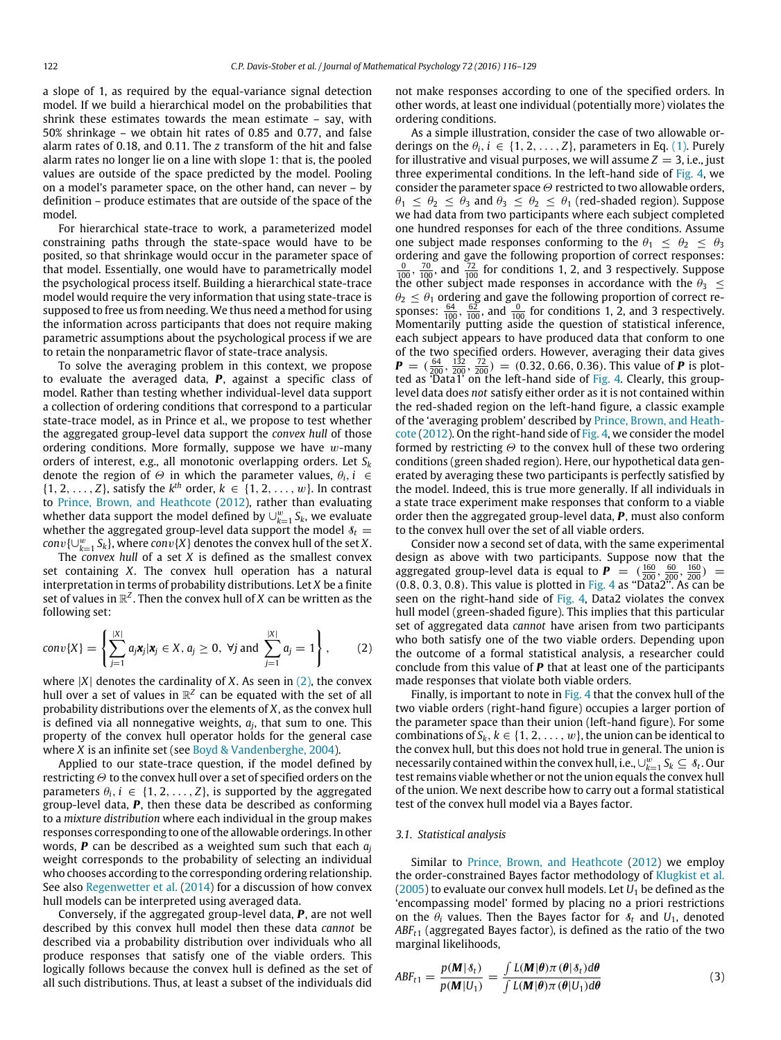a slope of 1, as required by the equal-variance signal detection model. If we build a hierarchical model on the probabilities that shrink these estimates towards the mean estimate – say, with 50% shrinkage – we obtain hit rates of 0.85 and 0.77, and false alarm rates of 0.18, and 0.11. The *z* transform of the hit and false alarm rates no longer lie on a line with slope 1: that is, the pooled values are outside of the space predicted by the model. Pooling on a model's parameter space, on the other hand, can never – by definition – produce estimates that are outside of the space of the model.

For hierarchical state-trace to work, a parameterized model constraining paths through the state-space would have to be posited, so that shrinkage would occur in the parameter space of that model. Essentially, one would have to parametrically model the psychological process itself. Building a hierarchical state-trace model would require the very information that using state-trace is supposed to free us from needing. We thus need a method for using the information across participants that does not require making parametric assumptions about the psychological process if we are to retain the nonparametric flavor of state-trace analysis.

To solve the averaging problem in this context, we propose to evaluate the averaged data, *P*, against a specific class of model. Rather than testing whether individual-level data support a collection of ordering conditions that correspond to a particular state-trace model, as in Prince et al., we propose to test whether the aggregated group-level data support the *convex hull* of those ordering conditions. More formally, suppose we have  $w$ -many orders of interest, e.g., all monotonic overlapping orders. Let *S<sup>k</sup>* denote the region of  $\Theta$  in which the parameter values,  $\theta_i$ ,  $i \in$  $\{1, 2, ..., Z\}$ , satisfy the  $k^{th}$  order,  $k \in \{1, 2, ..., w\}$ . In contrast to [Prince,](#page-13-1) [Brown,](#page-13-1) [and](#page-13-1) [Heathcote](#page-13-1) [\(2012\)](#page-13-1), rather than evaluating whether data support the model defined by  $\cup_{k=1}^w S_k$ , we evaluate whether the aggregated group-level data support the model  $s_t =$  $conv\{\cup_{k=1}^w S_k\}$ , where  $conv\{X\}$  denotes the convex hull of the set *X*.

The *convex hull* of a set *X* is defined as the smallest convex set containing *X*. The convex hull operation has a natural interpretation in terms of probability distributions. Let *X* be a finite set of values in R *Z* . Then the convex hull of *X* can be written as the following set:

$$
conv\{X\} = \left\{ \sum_{j=1}^{|X|} a_j \mathbf{x}_j | \mathbf{x}_j \in X, a_j \ge 0, \ \forall j \text{ and } \sum_{j=1}^{|X|} a_j = 1 \right\},\tag{2}
$$

where |*X*| denotes the cardinality of *X*. As seen in [\(2\),](#page-6-0) the convex hull over a set of values in  $\mathbb{R}^Z$  can be equated with the set of all probability distributions over the elements of *X*, as the convex hull is defined via all nonnegative weights, *a<sup>j</sup>* , that sum to one. This property of the convex hull operator holds for the general case where *X* is an infinite set (see [Boyd](#page-12-8) [&](#page-12-8) [Vandenberghe,](#page-12-8) [2004\)](#page-12-8).

Applied to our state-trace question, if the model defined by restricting  $\Theta$  to the convex hull over a set of specified orders on the parameters  $\theta_i$ ,  $i \in \{1, 2, ..., Z\}$ , is supported by the aggregated group-level data, *P*, then these data be described as conforming to a *mixture distribution* where each individual in the group makes responses corresponding to one of the allowable orderings. In other words, *P* can be described as a weighted sum such that each *a<sup>j</sup>* weight corresponds to the probability of selecting an individual who chooses according to the corresponding ordering relationship. See also [Regenwetter](#page-13-30) [et al.](#page-13-30) [\(2014\)](#page-13-30) for a discussion of how convex hull models can be interpreted using averaged data.

Conversely, if the aggregated group-level data, *P*, are not well described by this convex hull model then these data *cannot* be described via a probability distribution over individuals who all produce responses that satisfy one of the viable orders. This logically follows because the convex hull is defined as the set of all such distributions. Thus, at least a subset of the individuals did not make responses according to one of the specified orders. In other words, at least one individual (potentially more) violates the ordering conditions.

As a simple illustration, consider the case of two allowable orderings on the  $\theta_i$ ,  $i \in \{1, 2, ..., Z\}$ , parameters in Eq. [\(1\).](#page-5-0) Purely for illustrative and visual purposes, we will assume  $Z = 3$ , i.e., just three experimental conditions. In the left-hand side of [Fig. 4,](#page-7-0) we consider the parameter space  $\Theta$  restricted to two allowable orders,  $\theta_1 \leq \theta_2 \leq \theta_3$  and  $\theta_3 \leq \theta_2 \leq \theta_1$  (red-shaded region). Suppose we had data from two participants where each subject completed one hundred responses for each of the three conditions. Assume one subject made responses conforming to the  $\theta_1 \leq \theta_2 \leq \theta_3$ ordering and gave the following proportion of correct responses:  $\frac{0}{100}$ ,  $\frac{70}{100}$ , and  $\frac{72}{100}$  for conditions 1, 2, and 3 respectively. Suppose the other subject made responses in accordance with the  $\theta_3 \leq$  $\theta_2 \leq \theta_1$  ordering and gave the following proportion of correct responses:  $\frac{64}{100}$ ,  $\frac{62}{100}$ , and  $\frac{0}{100}$  for conditions 1, 2, and 3 respectively.<br>Momentarily putting aside the question of statistical inference, each subject appears to have produced data that conform to one of the two specified orders. However, averaging their data gives  $P = (\frac{64}{200}, \frac{132}{200}, \frac{72}{200}) = (0.32, 0.66, 0.36)$ . This value of *P* is plotted as 'Data1' on the left-hand side of [Fig. 4.](#page-7-0) Clearly, this grouplevel data does *not* satisfy either order as it is not contained within the red-shaded region on the left-hand figure, a classic example [o](#page-13-1)f the 'averaging problem' described by [Prince,](#page-13-1) [Brown,](#page-13-1) [and](#page-13-1) [Heath](#page-13-1)[cote](#page-13-1) [\(2012\)](#page-13-1). On the right-hand side of [Fig. 4,](#page-7-0) we consider the model formed by restricting  $\Theta$  to the convex hull of these two ordering conditions (green shaded region). Here, our hypothetical data generated by averaging these two participants is perfectly satisfied by the model. Indeed, this is true more generally. If all individuals in a state trace experiment make responses that conform to a viable order then the aggregated group-level data, *P*, must also conform to the convex hull over the set of all viable orders.

Consider now a second set of data, with the same experimental design as above with two participants. Suppose now that the aggregated group-level data is equal to  $P = (\frac{160}{200}, \frac{60}{200}, \frac{160}{200}) =$  $(0.8, 0.3, 0.8)$ . This value is plotted in [Fig. 4](#page-7-0) as "Data2". As can be seen on the right-hand side of [Fig. 4,](#page-7-0) Data2 violates the convex hull model (green-shaded figure). This implies that this particular set of aggregated data *cannot* have arisen from two participants who both satisfy one of the two viable orders. Depending upon the outcome of a formal statistical analysis, a researcher could conclude from this value of *P* that at least one of the participants made responses that violate both viable orders.

<span id="page-6-0"></span>Finally, is important to note in [Fig. 4](#page-7-0) that the convex hull of the two viable orders (right-hand figure) occupies a larger portion of the parameter space than their union (left-hand figure). For some combinations of  $S_k$ ,  $k \in \{1, 2, ..., w\}$ , the union can be identical to the convex hull, but this does not hold true in general. The union is necessarily contained within the convex hull, i.e.,  $\bigcup_{k=1}^{w} S_k \subseteq \mathcal{S}_t$ . Our test remains viable whether or not the union equals the convex hull of the union. We next describe how to carry out a formal statistical test of the convex hull model via a Bayes factor.

### *3.1. Statistical analysis*

Similar to [Prince,](#page-13-1) [Brown,](#page-13-1) [and](#page-13-1) [Heathcote](#page-13-1) [\(2012\)](#page-13-1) we employ the order-constrained Bayes factor methodology of [Klugkist](#page-13-0) [et al.](#page-13-0) [\(2005\)](#page-13-0) to evaluate our convex hull models. Let *U*<sup>1</sup> be defined as the 'encompassing model' formed by placing no a priori restrictions on the  $\theta_i$  values. Then the Bayes factor for  $\delta_t$  and  $U_1$ , denoted *ABFt*<sup>1</sup> (aggregated Bayes factor), is defined as the ratio of the two marginal likelihoods,

<span id="page-6-1"></span>
$$
ABF_{t1} = \frac{p(\mathbf{M}|\mathcal{S}_t)}{p(\mathbf{M}|U_1)} = \frac{\int L(\mathbf{M}|\boldsymbol{\theta})\pi(\boldsymbol{\theta}|\mathcal{S}_t)d\boldsymbol{\theta}}{\int L(\mathbf{M}|\boldsymbol{\theta})\pi(\boldsymbol{\theta}|U_1)d\boldsymbol{\theta}}
$$
(3)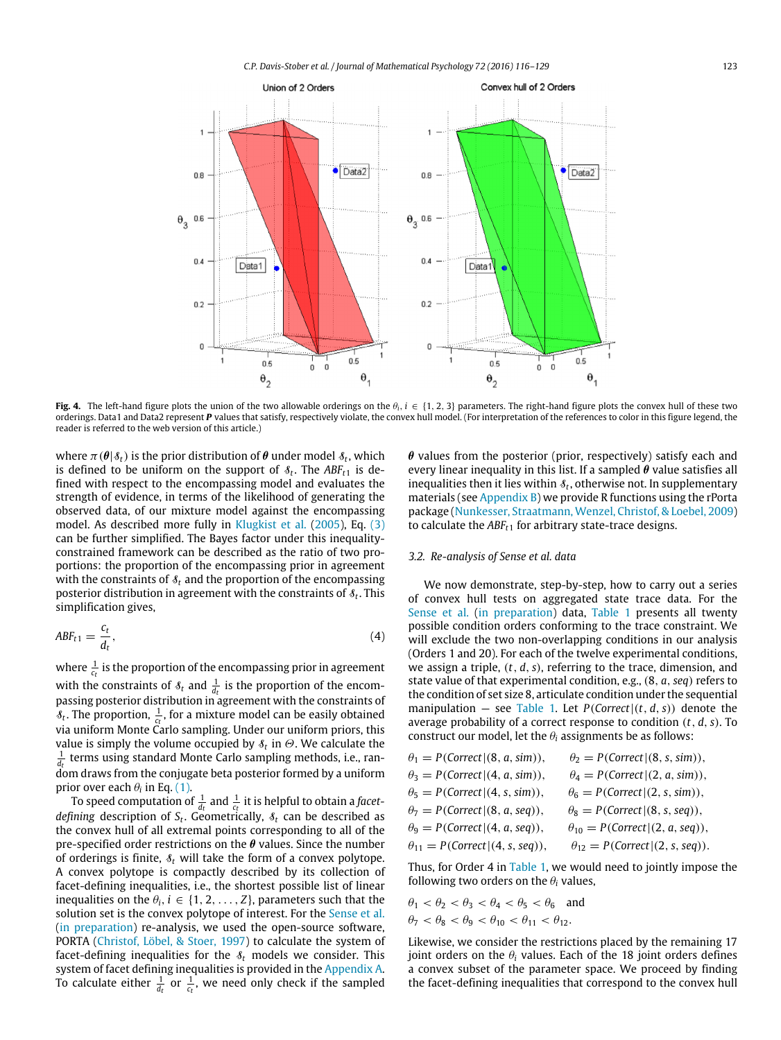<span id="page-7-0"></span>

**Fig. 4.** The left-hand figure plots the union of the two allowable orderings on the  $\theta_i$ ,  $i \in \{1, 2, 3\}$  parameters. The right-hand figure plots the convex hull of these two orderings. Data1 and Data2 represent *P* values that satisfy, respectively violate, the convex hull model. (For interpretation of the references to color in this figure legend, the reader is referred to the web version of this article.)

where  $\pi(\theta|\mathcal{S}_t)$  is the prior distribution of  $\theta$  under model  $\mathcal{S}_t$ , which is defined to be uniform on the support of  $s_t$ . The ABF $_{t1}$  is defined with respect to the encompassing model and evaluates the strength of evidence, in terms of the likelihood of generating the observed data, of our mixture model against the encompassing model. As described more fully in [Klugkist](#page-13-0) [et al.](#page-13-0) [\(2005\)](#page-13-0), Eq. [\(3\)](#page-6-1) can be further simplified. The Bayes factor under this inequalityconstrained framework can be described as the ratio of two proportions: the proportion of the encompassing prior in agreement with the constraints of  $s_t$  and the proportion of the encompassing posterior distribution in agreement with the constraints of  $\emph{\textbf{s}}_{t}.$  This simplification gives,

$$
ABF_{t1} = \frac{c_t}{d_t},\tag{4}
$$

where  $\frac{1}{c_t}$  is the proportion of the encompassing prior in agreement with the constraints of  $\delta_t$  and  $\frac{1}{d_t}$  is the proportion of the encompassing posterior distribution in agreement with the constraints of  $\delta_t$ . The proportion,  $\frac{1}{c_t}$ , for a mixture model can be easily obtained via uniform Monte Carlo sampling. Under our uniform priors, this value is simply the volume occupied by  $s_t$  in  $\Theta.$  We calculate the  $\frac{1}{d_t}$  terms using standard Monte Carlo sampling methods, i.e., random draws from the conjugate beta posterior formed by a uniform prior over each  $\theta_i$  in Eq. [\(1\).](#page-5-0)

To speed computation of  $\frac{1}{d_t}$  and  $\frac{1}{c_t}$  it is helpful to obtain a *facetdefining* description of *S<sup>t</sup>* . Geometrically, S*<sup>t</sup>* can be described as the convex hull of all extremal points corresponding to all of the pre-specified order restrictions on the  $\theta$  values. Since the number of orderings is finite,  $s_t$  will take the form of a convex polytope. A convex polytope is compactly described by its collection of facet-defining inequalities, i.e., the shortest possible list of linear inequalities on the  $\theta_i$ ,  $i \in \{1, 2, ..., Z\}$ , parameters such that the solution set is the convex polytope of interest. For the [Sense](#page-13-7) [et al.](#page-13-7) [\(in preparation\)](#page-13-7) re-analysis, we used the open-source software, PORTA [\(Christof,](#page-12-9) [Löbel,](#page-12-9) [&](#page-12-9) [Stoer,](#page-12-9) [1997\)](#page-12-9) to calculate the system of facet-defining inequalities for the  $\delta_t$  models we consider. This system of facet defining inequalities is provided in the [Appendix A.](#page-12-10) To calculate either  $\frac{1}{d_t}$  or  $\frac{1}{c_t}$ , we need only check if the sampled

 $\theta$  values from the posterior (prior, respectively) satisfy each and every linear inequality in this list. If a sampled  $\theta$  value satisfies all inequalities then it lies within  $s_t$ , otherwise not. In supplementary materials (see Appendix  $B$ ) we provide R functions using the rPorta package [\(Nunkesser,](#page-13-31) [Straatmann,](#page-13-31) [Wenzel,](#page-13-31) [Christof,](#page-13-31) [&](#page-13-31) [Loebel,](#page-13-31) [2009\)](#page-13-31) to calculate the *ABFt*<sup>1</sup> for arbitrary state-trace designs.

### *3.2. Re-analysis of Sense et al. data*

We now demonstrate, step-by-step, how to carry out a series of convex hull tests on aggregated state trace data. For the [Sense](#page-13-7) [et al.](#page-13-7) [\(in preparation\)](#page-13-7) data, [Table 1](#page-8-0) presents all twenty possible condition orders conforming to the trace constraint. We will exclude the two non-overlapping conditions in our analysis (Orders 1 and 20). For each of the twelve experimental conditions, we assign a triple, (*t*, *d*, *s*), referring to the trace, dimension, and state value of that experimental condition, e.g., (8, *a*, *seq*) refers to the condition of set size 8, articulate condition under the sequential manipulation – see [Table 1.](#page-8-0) Let  $P(Correct|(t, d, s))$  denote the average probability of a correct response to condition (*t*, *d*, *s*). To construct our model, let the  $\theta_i$  assignments be as follows:

| $\theta_1 = P(Correct (8, a, sim)),$    | $\theta_2 = P(Correct (8, s, sim)),$    |
|-----------------------------------------|-----------------------------------------|
| $\theta_3 = P(Correct   (4, a, sim)),$  | $\theta_4 = P(Correct (2, a, sim)),$    |
| $\theta_5 = P(Correct (4, s, sim)),$    | $\theta_6 = P(Correct (2, s, sim)),$    |
| $\theta_7 = P(Correct (8, a, seq)),$    | $\theta_8 = P(Correct (8, s, seq)),$    |
| $\theta_9 = P(Correct (4, a, seq)),$    | $\theta_{10} = P(Correct (2, a, seq)),$ |
| $\theta_{11} = P(Correct (4, s, seq)),$ | $\theta_{12} = P(Correct (2, s, seq)).$ |

Thus, for Order 4 in [Table 1,](#page-8-0) we would need to jointly impose the following two orders on the  $\theta_i$  values,

$$
\theta_1 < \theta_2 < \theta_3 < \theta_4 < \theta_5 < \theta_6 \quad \text{and}
$$
\n
$$
\theta_7 < \theta_8 < \theta_9 < \theta_{10} < \theta_{11} < \theta_{12}.
$$

Likewise, we consider the restrictions placed by the remaining 17 joint orders on the  $\theta_i$  values. Each of the 18 joint orders defines a convex subset of the parameter space. We proceed by finding the facet-defining inequalities that correspond to the convex hull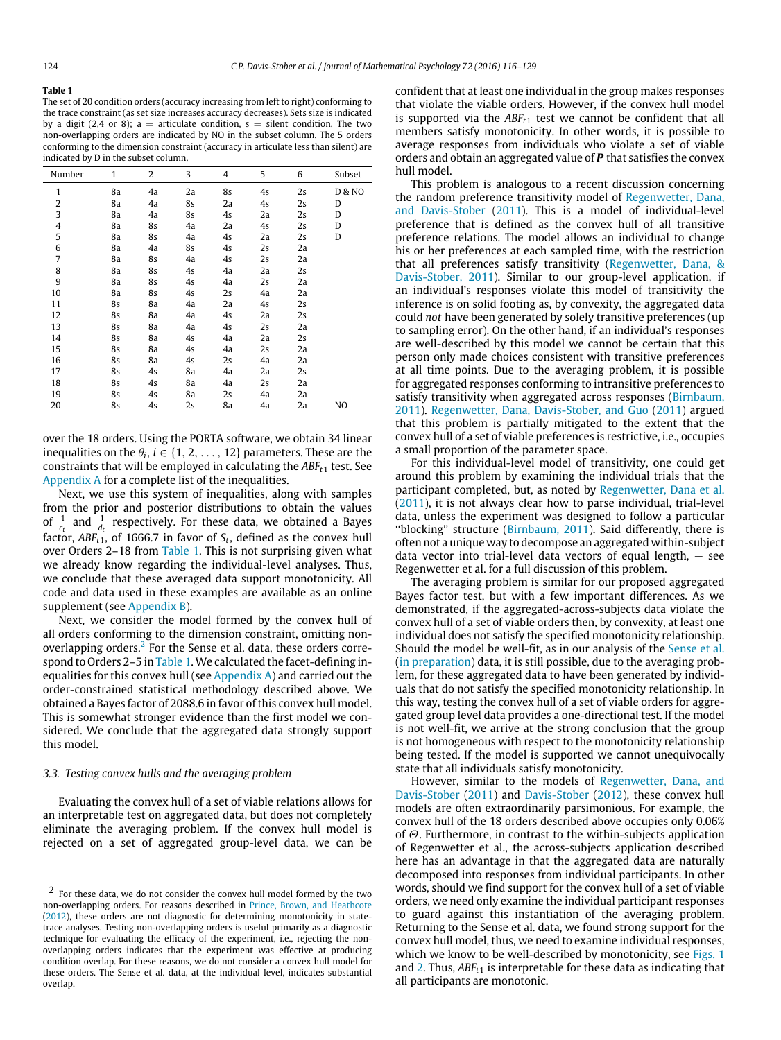#### <span id="page-8-0"></span>**Table 1**

The set of 20 condition orders (accuracy increasing from left to right) conforming to the trace constraint (as set size increases accuracy decreases). Sets size is indicated by a digit (2,4 or 8); a = articulate condition,  $s =$  silent condition. The two non-overlapping orders are indicated by NO in the subset column. The 5 orders conforming to the dimension constraint (accuracy in articulate less than silent) are indicated by D in the subset column.

| Number | 1  | 2  | 3  | 4  | 5  | 6  | Subset |
|--------|----|----|----|----|----|----|--------|
| 1      | 8a | 4a | 2a | 8s | 4s | 2s | D & NO |
| 2      | 8a | 4a | 8s | 2a | 4s | 2s | D      |
| 3      | 8a | 4a | 8s | 4s | 2a | 2s | D      |
| 4      | 8a | 8s | 4a | 2a | 4s | 2s | D      |
| 5      | 8a | 8s | 4a | 4s | 2a | 2s | D      |
| 6      | 8a | 4a | 8s | 4s | 2s | 2a |        |
| 7      | 8a | 8s | 4a | 4s | 2s | 2a |        |
| 8      | 8a | 8s | 4s | 4a | 2a | 2s |        |
| 9      | 8a | 8s | 4s | 4a | 2s | 2a |        |
| 10     | 8a | 8s | 4s | 2s | 4a | 2a |        |
| 11     | 8s | 8a | 4a | 2a | 4s | 2s |        |
| 12     | 8s | 8a | 4a | 4s | 2a | 2s |        |
| 13     | 8s | 8a | 4a | 4s | 2s | 2a |        |
| 14     | 8s | 8a | 4s | 4a | 2a | 2s |        |
| 15     | 8s | 8a | 4s | 4a | 2s | 2a |        |
| 16     | 8s | 8a | 4s | 2s | 4a | 2a |        |
| 17     | 8s | 4s | 8a | 4a | 2a | 2s |        |
| 18     | 8s | 4s | 8a | 4a | 2s | 2a |        |
| 19     | 8s | 4s | 8a | 2s | 4a | 2a |        |
| 20     | 8s | 4s | 2s | 8a | 4a | 2a | NO     |

over the 18 orders. Using the PORTA software, we obtain 34 linear inequalities on the  $\theta_i$ ,  $i \in \{1, 2, \ldots, 12\}$  parameters. These are the constraints that will be employed in calculating the *ABFt*<sup>1</sup> test. See [Appendix A](#page-12-10) for a complete list of the inequalities.

Next, we use this system of inequalities, along with samples from the prior and posterior distributions to obtain the values of  $\frac{1}{c_t}$  and  $\frac{1}{d_t}$  respectively. For these data, we obtained a Bayes factor, *ABFt*1, of 1666.7 in favor of *S<sup>t</sup>* , defined as the convex hull over Orders 2–18 from [Table 1.](#page-8-0) This is not surprising given what we already know regarding the individual-level analyses. Thus, we conclude that these averaged data support monotonicity. All code and data used in these examples are available as an online supplement (see [Appendix B\)](#page-12-6).

Next, we consider the model formed by the convex hull of all orders conforming to the dimension constraint, omitting nonoverlapping orders. $^2$  $^2$  For the Sense et al. data, these orders correspond to Orders 2–5 in [Table 1.](#page-8-0) We calculated the facet-defining inequalities for this convex hull (see [Appendix A\)](#page-12-10) and carried out the order-constrained statistical methodology described above. We obtained a Bayes factor of 2088.6 in favor of this convex hull model. This is somewhat stronger evidence than the first model we considered. We conclude that the aggregated data strongly support this model.

# *3.3. Testing convex hulls and the averaging problem*

Evaluating the convex hull of a set of viable relations allows for an interpretable test on aggregated data, but does not completely eliminate the averaging problem. If the convex hull model is rejected on a set of aggregated group-level data, we can be

confident that at least one individual in the group makes responses that violate the viable orders. However, if the convex hull model is supported via the *ABFt*<sup>1</sup> test we cannot be confident that all members satisfy monotonicity. In other words, it is possible to average responses from individuals who violate a set of viable orders and obtain an aggregated value of *P* that satisfies the convex hull model.

This problem is analogous to a recent discussion concerning the random preference transitivity model of [Regenwetter,](#page-13-6) [Dana,](#page-13-6) [and](#page-13-6) [Davis-Stober](#page-13-6) [\(2011\)](#page-13-6). This is a model of individual-level preference that is defined as the convex hull of all transitive preference relations. The model allows an individual to change his or her preferences at each sampled time, with the restriction that all preferences satisfy transitivity [\(Regenwetter,](#page-13-6) [Dana,](#page-13-6) [&](#page-13-6) [Davis-Stober,](#page-13-6) [2011\)](#page-13-6). Similar to our group-level application, if an individual's responses violate this model of transitivity the inference is on solid footing as, by convexity, the aggregated data could *not* have been generated by solely transitive preferences (up to sampling error). On the other hand, if an individual's responses are well-described by this model we cannot be certain that this person only made choices consistent with transitive preferences at all time points. Due to the averaging problem, it is possible for aggregated responses conforming to intransitive preferences to satisfy transitivity when aggregated across responses [\(Birnbaum,](#page-12-11) [2011\)](#page-12-11). [Regenwetter,](#page-13-32) [Dana,](#page-13-32) [Davis-Stober,](#page-13-32) [and](#page-13-32) [Guo](#page-13-32) [\(2011\)](#page-13-32) argued that this problem is partially mitigated to the extent that the convex hull of a set of viable preferences is restrictive, i.e., occupies a small proportion of the parameter space.

For this individual-level model of transitivity, one could get around this problem by examining the individual trials that the participant completed, but, as noted by [Regenwetter,](#page-13-32) [Dana](#page-13-32) [et al.](#page-13-32) [\(2011\)](#page-13-32), it is not always clear how to parse individual, trial-level data, unless the experiment was designed to follow a particular "blocking" structure [\(Birnbaum,](#page-12-11) [2011\)](#page-12-11). Said differently, there is often not a unique way to decompose an aggregated within-subject data vector into trial-level data vectors of equal length, — see Regenwetter et al. for a full discussion of this problem.

The averaging problem is similar for our proposed aggregated Bayes factor test, but with a few important differences. As we demonstrated, if the aggregated-across-subjects data violate the convex hull of a set of viable orders then, by convexity, at least one individual does not satisfy the specified monotonicity relationship. Should the model be well-fit, as in our analysis of the [Sense](#page-13-7) [et al.](#page-13-7) [\(in preparation\)](#page-13-7) data, it is still possible, due to the averaging problem, for these aggregated data to have been generated by individuals that do not satisfy the specified monotonicity relationship. In this way, testing the convex hull of a set of viable orders for aggregated group level data provides a one-directional test. If the model is not well-fit, we arrive at the strong conclusion that the group is not homogeneous with respect to the monotonicity relationship being tested. If the model is supported we cannot unequivocally state that all individuals satisfy monotonicity.

However, similar to the models of [Regenwetter,](#page-13-6) [Dana,](#page-13-6) [and](#page-13-6) [Davis-Stober](#page-13-6) [\(2011\)](#page-13-6) and [Davis-Stober](#page-12-12) [\(2012\)](#page-12-12), these convex hull models are often extraordinarily parsimonious. For example, the convex hull of the 18 orders described above occupies only 0.06% of  $\Theta$ . Furthermore, in contrast to the within-subjects application of Regenwetter et al., the across-subjects application described here has an advantage in that the aggregated data are naturally decomposed into responses from individual participants. In other words, should we find support for the convex hull of a set of viable orders, we need only examine the individual participant responses to guard against this instantiation of the averaging problem. Returning to the Sense et al. data, we found strong support for the convex hull model, thus, we need to examine individual responses, which we know to be well-described by monotonicity, see [Figs. 1](#page-2-0) and [2.](#page-3-0) Thus, *ABFt*<sup>1</sup> is interpretable for these data as indicating that all participants are monotonic.

<span id="page-8-1"></span><sup>2</sup> For these data, we do not consider the convex hull model formed by the two non-overlapping orders. For reasons described in [Prince,](#page-13-1) [Brown,](#page-13-1) [and](#page-13-1) [Heathcote](#page-13-1) [\(2012\)](#page-13-1), these orders are not diagnostic for determining monotonicity in statetrace analyses. Testing non-overlapping orders is useful primarily as a diagnostic technique for evaluating the efficacy of the experiment, i.e., rejecting the nonoverlapping orders indicates that the experiment was effective at producing condition overlap. For these reasons, we do not consider a convex hull model for these orders. The Sense et al. data, at the individual level, indicates substantial overlap.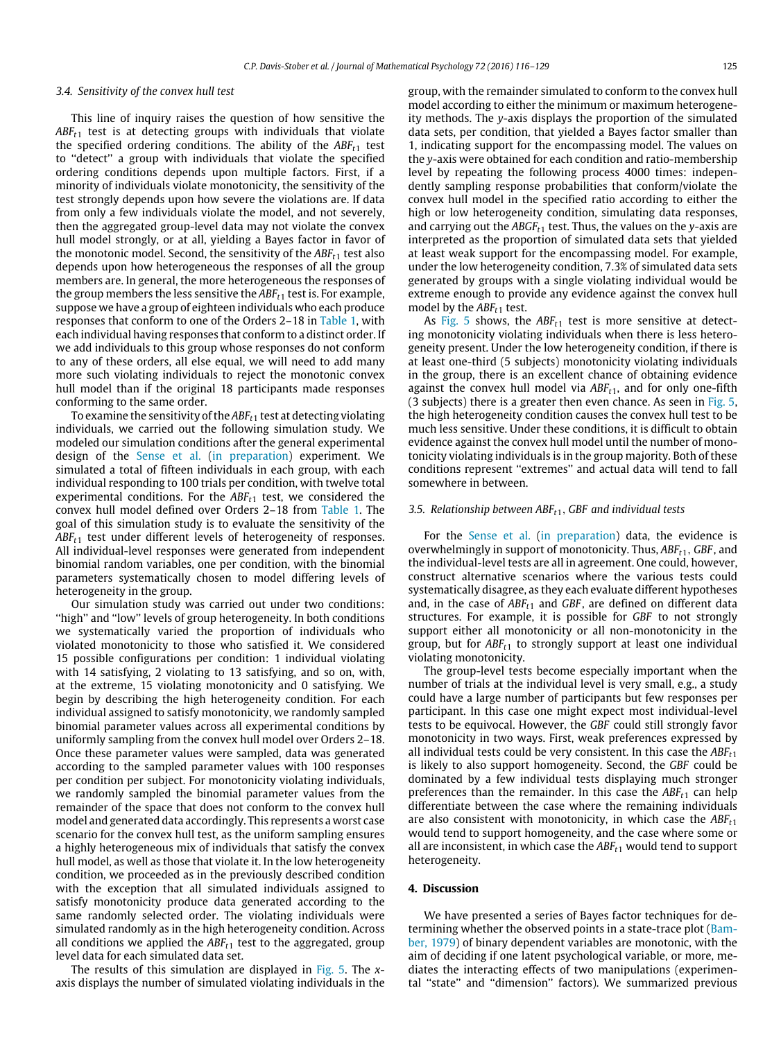### *3.4. Sensitivity of the convex hull test*

This line of inquiry raises the question of how sensitive the *ABFt*<sup>1</sup> test is at detecting groups with individuals that violate the specified ordering conditions. The ability of the  $ABF_{t1}$  test to ''detect'' a group with individuals that violate the specified ordering conditions depends upon multiple factors. First, if a minority of individuals violate monotonicity, the sensitivity of the test strongly depends upon how severe the violations are. If data from only a few individuals violate the model, and not severely, then the aggregated group-level data may not violate the convex hull model strongly, or at all, yielding a Bayes factor in favor of the monotonic model. Second, the sensitivity of the *ABFt*<sup>1</sup> test also depends upon how heterogeneous the responses of all the group members are. In general, the more heterogeneous the responses of the group members the less sensitive the *ABFt*<sup>1</sup> test is. For example, suppose we have a group of eighteen individuals who each produce responses that conform to one of the Orders 2–18 in [Table 1,](#page-8-0) with each individual having responses that conform to a distinct order. If we add individuals to this group whose responses do not conform to any of these orders, all else equal, we will need to add many more such violating individuals to reject the monotonic convex hull model than if the original 18 participants made responses conforming to the same order.

To examine the sensitivity of the *ABFt*<sup>1</sup> test at detecting violating individuals, we carried out the following simulation study. We modeled our simulation conditions after the general experimental design of the [Sense](#page-13-7) [et al.](#page-13-7) [\(in preparation\)](#page-13-7) experiment. We simulated a total of fifteen individuals in each group, with each individual responding to 100 trials per condition, with twelve total experimental conditions. For the *ABFt*<sup>1</sup> test, we considered the convex hull model defined over Orders 2–18 from [Table 1.](#page-8-0) The goal of this simulation study is to evaluate the sensitivity of the *ABF*<sub>t1</sub> test under different levels of heterogeneity of responses. All individual-level responses were generated from independent binomial random variables, one per condition, with the binomial parameters systematically chosen to model differing levels of heterogeneity in the group.

Our simulation study was carried out under two conditions: ''high'' and ''low'' levels of group heterogeneity. In both conditions we systematically varied the proportion of individuals who violated monotonicity to those who satisfied it. We considered 15 possible configurations per condition: 1 individual violating with 14 satisfying, 2 violating to 13 satisfying, and so on, with, at the extreme, 15 violating monotonicity and 0 satisfying. We begin by describing the high heterogeneity condition. For each individual assigned to satisfy monotonicity, we randomly sampled binomial parameter values across all experimental conditions by uniformly sampling from the convex hull model over Orders 2–18. Once these parameter values were sampled, data was generated according to the sampled parameter values with 100 responses per condition per subject. For monotonicity violating individuals, we randomly sampled the binomial parameter values from the remainder of the space that does not conform to the convex hull model and generated data accordingly. This represents a worst case scenario for the convex hull test, as the uniform sampling ensures a highly heterogeneous mix of individuals that satisfy the convex hull model, as well as those that violate it. In the low heterogeneity condition, we proceeded as in the previously described condition with the exception that all simulated individuals assigned to satisfy monotonicity produce data generated according to the same randomly selected order. The violating individuals were simulated randomly as in the high heterogeneity condition. Across all conditions we applied the *ABFt*<sup>1</sup> test to the aggregated, group level data for each simulated data set.

The results of this simulation are displayed in [Fig. 5.](#page-10-0) The *x*axis displays the number of simulated violating individuals in the group, with the remainder simulated to conform to the convex hull model according to either the minimum or maximum heterogeneity methods. The *y*-axis displays the proportion of the simulated data sets, per condition, that yielded a Bayes factor smaller than 1, indicating support for the encompassing model. The values on the *y*-axis were obtained for each condition and ratio-membership level by repeating the following process 4000 times: independently sampling response probabilities that conform/violate the convex hull model in the specified ratio according to either the high or low heterogeneity condition, simulating data responses, and carrying out the *ABGFt*<sup>1</sup> test. Thus, the values on the *y*-axis are interpreted as the proportion of simulated data sets that yielded at least weak support for the encompassing model. For example, under the low heterogeneity condition, 7.3% of simulated data sets generated by groups with a single violating individual would be extreme enough to provide any evidence against the convex hull model by the *ABFt*<sup>1</sup> test.

As [Fig. 5](#page-10-0) shows, the ABF<sub>t1</sub> test is more sensitive at detecting monotonicity violating individuals when there is less heterogeneity present. Under the low heterogeneity condition, if there is at least one-third (5 subjects) monotonicity violating individuals in the group, there is an excellent chance of obtaining evidence against the convex hull model via *ABFt*1, and for only one-fifth (3 subjects) there is a greater then even chance. As seen in [Fig. 5,](#page-10-0) the high heterogeneity condition causes the convex hull test to be much less sensitive. Under these conditions, it is difficult to obtain evidence against the convex hull model until the number of monotonicity violating individuals is in the group majority. Both of these conditions represent ''extremes'' and actual data will tend to fall somewhere in between.

# *3.5. Relationship between ABFt*1, *GBF and individual tests*

For the [Sense](#page-13-7) [et al.](#page-13-7) [\(in preparation\)](#page-13-7) data, the evidence is overwhelmingly in support of monotonicity. Thus, *ABFt*1, *GBF* , and the individual-level tests are all in agreement. One could, however, construct alternative scenarios where the various tests could systematically disagree, as they each evaluate different hypotheses and, in the case of *ABFt*<sup>1</sup> and *GBF* , are defined on different data structures. For example, it is possible for *GBF* to not strongly support either all monotonicity or all non-monotonicity in the group, but for *ABFt*<sup>1</sup> to strongly support at least one individual violating monotonicity.

The group-level tests become especially important when the number of trials at the individual level is very small, e.g., a study could have a large number of participants but few responses per participant. In this case one might expect most individual-level tests to be equivocal. However, the *GBF* could still strongly favor monotonicity in two ways. First, weak preferences expressed by all individual tests could be very consistent. In this case the *ABFt*<sup>1</sup> is likely to also support homogeneity. Second, the *GBF* could be dominated by a few individual tests displaying much stronger preferences than the remainder. In this case the *ABFt*<sup>1</sup> can help differentiate between the case where the remaining individuals are also consistent with monotonicity, in which case the *ABFt*<sup>1</sup> would tend to support homogeneity, and the case where some or all are inconsistent, in which case the *ABFt*<sup>1</sup> would tend to support heterogeneity.

### **4. Discussion**

We have presented a series of Bayes factor techniques for de[t](#page-12-0)ermining whether the observed points in a state-trace plot [\(Bam](#page-12-0)[ber,](#page-12-0) [1979\)](#page-12-0) of binary dependent variables are monotonic, with the aim of deciding if one latent psychological variable, or more, mediates the interacting effects of two manipulations (experimental ''state'' and ''dimension'' factors). We summarized previous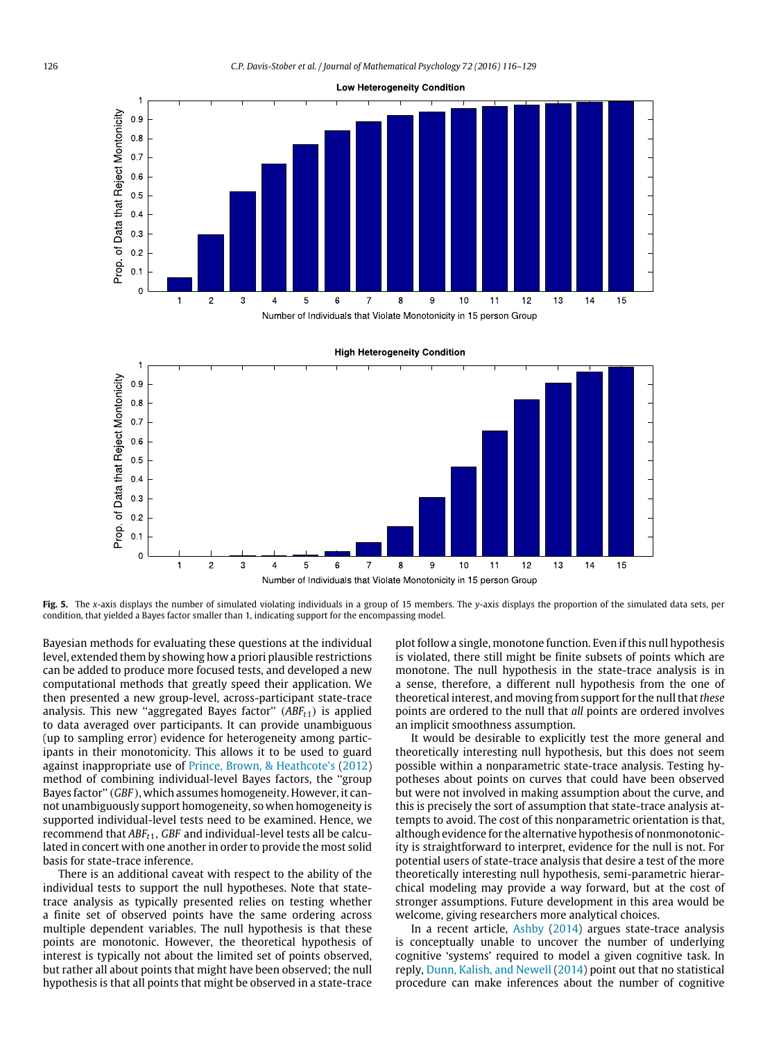<span id="page-10-0"></span>

Number of Individuals that Violate Monotonicity in 15 person Group **Fig. 5.** The *x*-axis displays the number of simulated violating individuals in a group of 15 members. The *y*-axis displays the proportion of the simulated data sets, per

 $\overline{7}$ 

8

9

 $10$ 

 $11$ 

 $12$ 

Bayesian methods for evaluating these questions at the individual level, extended them by showing how a priori plausible restrictions can be added to produce more focused tests, and developed a new computational methods that greatly speed their application. We then presented a new group-level, across-participant state-trace analysis. This new ''aggregated Bayes factor'' (*ABFt*1) is applied to data averaged over participants. It can provide unambiguous (up to sampling error) evidence for heterogeneity among participants in their monotonicity. This allows it to be used to guard against inappropriate use of [Prince,](#page-13-3) [Brown,](#page-13-3) [&](#page-13-3) [Heathcote's](#page-13-3) [\(2012\)](#page-13-3) method of combining individual-level Bayes factors, the ''group Bayes factor''(*GBF* ), which assumes homogeneity. However, it cannot unambiguously support homogeneity, so when homogeneity is supported individual-level tests need to be examined. Hence, we recommend that *ABFt*1, *GBF* and individual-level tests all be calculated in concert with one another in order to provide the most solid basis for state-trace inference.

 $\overline{c}$ 

03  $0<sub>2</sub>$  $\Omega$ .  $\mathbf 0$ 

condition, that yielded a Bayes factor smaller than 1, indicating support for the encompassing model.

 $\overline{\mathbf{3}}$ 

 $\overline{4}$ 

5

6

There is an additional caveat with respect to the ability of the individual tests to support the null hypotheses. Note that statetrace analysis as typically presented relies on testing whether a finite set of observed points have the same ordering across multiple dependent variables. The null hypothesis is that these points are monotonic. However, the theoretical hypothesis of interest is typically not about the limited set of points observed, but rather all about points that might have been observed; the null hypothesis is that all points that might be observed in a state-trace plot follow a single, monotone function. Even if this null hypothesis is violated, there still might be finite subsets of points which are monotone. The null hypothesis in the state-trace analysis is in a sense, therefore, a different null hypothesis from the one of theoretical interest, and moving from support for the null that*these* points are ordered to the null that *all* points are ordered involves an implicit smoothness assumption.

13

 $14$ 

15

It would be desirable to explicitly test the more general and theoretically interesting null hypothesis, but this does not seem possible within a nonparametric state-trace analysis. Testing hypotheses about points on curves that could have been observed but were not involved in making assumption about the curve, and this is precisely the sort of assumption that state-trace analysis attempts to avoid. The cost of this nonparametric orientation is that, although evidence for the alternative hypothesis of nonmonotonicity is straightforward to interpret, evidence for the null is not. For potential users of state-trace analysis that desire a test of the more theoretically interesting null hypothesis, semi-parametric hierarchical modeling may provide a way forward, but at the cost of stronger assumptions. Future development in this area would be welcome, giving researchers more analytical choices.

In a recent article, [Ashby](#page-12-13) [\(2014\)](#page-12-13) argues state-trace analysis is conceptually unable to uncover the number of underlying cognitive 'systems' required to model a given cognitive task. In reply, [Dunn,](#page-12-14) [Kalish,](#page-12-14) [and](#page-12-14) [Newell](#page-12-14) [\(2014\)](#page-12-14) point out that no statistical procedure can make inferences about the number of cognitive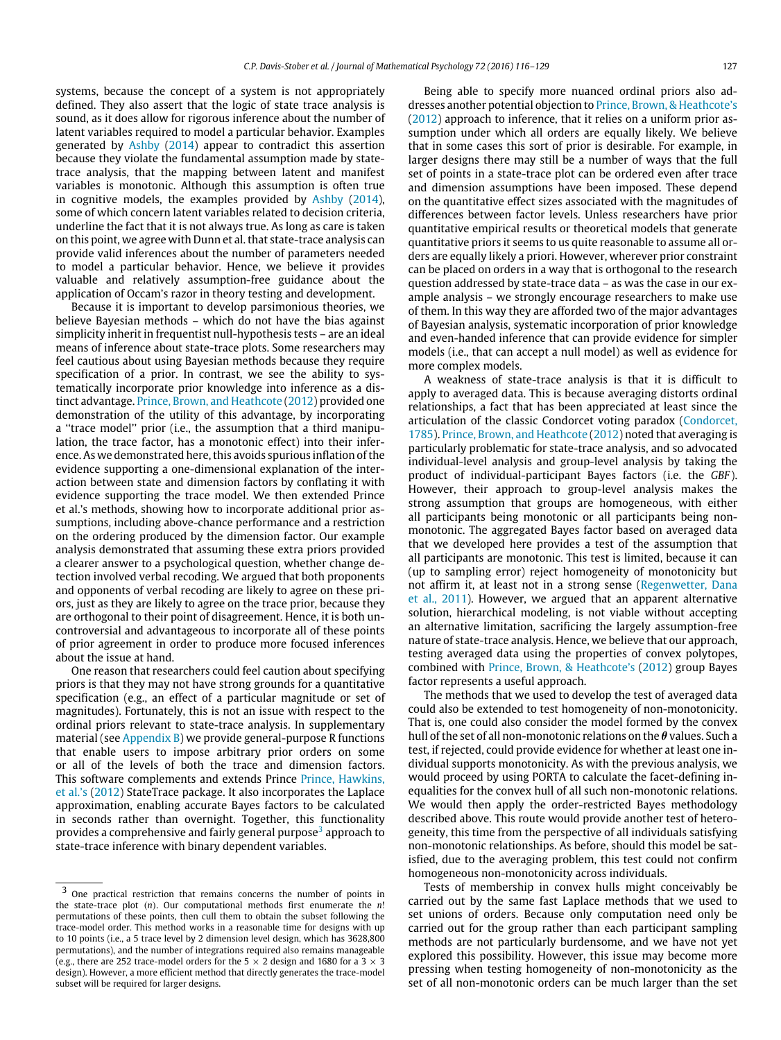systems, because the concept of a system is not appropriately defined. They also assert that the logic of state trace analysis is sound, as it does allow for rigorous inference about the number of latent variables required to model a particular behavior. Examples generated by [Ashby](#page-12-13) [\(2014\)](#page-12-13) appear to contradict this assertion because they violate the fundamental assumption made by statetrace analysis, that the mapping between latent and manifest variables is monotonic. Although this assumption is often true in cognitive models, the examples provided by [Ashby](#page-12-13) [\(2014\)](#page-12-13), some of which concern latent variables related to decision criteria, underline the fact that it is not always true. As long as care is taken on this point, we agree with Dunn et al. that state-trace analysis can provide valid inferences about the number of parameters needed to model a particular behavior. Hence, we believe it provides valuable and relatively assumption-free guidance about the application of Occam's razor in theory testing and development.

Because it is important to develop parsimonious theories, we believe Bayesian methods – which do not have the bias against simplicity inherit in frequentist null-hypothesis tests – are an ideal means of inference about state-trace plots. Some researchers may feel cautious about using Bayesian methods because they require specification of a prior. In contrast, we see the ability to systematically incorporate prior knowledge into inference as a distinct advantage. [Prince,](#page-13-1) [Brown,](#page-13-1) [and](#page-13-1) [Heathcote](#page-13-1) [\(2012\)](#page-13-1) provided one demonstration of the utility of this advantage, by incorporating a ''trace model'' prior (i.e., the assumption that a third manipulation, the trace factor, has a monotonic effect) into their inference. As we demonstrated here, this avoids spurious inflation of the evidence supporting a one-dimensional explanation of the interaction between state and dimension factors by conflating it with evidence supporting the trace model. We then extended Prince et al.'s methods, showing how to incorporate additional prior assumptions, including above-chance performance and a restriction on the ordering produced by the dimension factor. Our example analysis demonstrated that assuming these extra priors provided a clearer answer to a psychological question, whether change detection involved verbal recoding. We argued that both proponents and opponents of verbal recoding are likely to agree on these priors, just as they are likely to agree on the trace prior, because they are orthogonal to their point of disagreement. Hence, it is both uncontroversial and advantageous to incorporate all of these points of prior agreement in order to produce more focused inferences about the issue at hand.

One reason that researchers could feel caution about specifying priors is that they may not have strong grounds for a quantitative specification (e.g., an effect of a particular magnitude or set of magnitudes). Fortunately, this is not an issue with respect to the ordinal priors relevant to state-trace analysis. In supplementary material (see [Appendix B\)](#page-12-6) we provide general-purpose R functions that enable users to impose arbitrary prior orders on some or all of the levels of both the trace and dimension factors. This software complements and extends Prince [Prince,](#page-13-2) [Hawkins,](#page-13-2) [et al.'s](#page-13-2) [\(2012\)](#page-13-2) StateTrace package. It also incorporates the Laplace approximation, enabling accurate Bayes factors to be calculated in seconds rather than overnight. Together, this functionality provides a comprehensive and fairly general purpose<sup>[3](#page-11-0)</sup> approach to state-trace inference with binary dependent variables.

Being able to specify more nuanced ordinal priors also addresses another potential objection to [Prince,](#page-13-3) [Brown,](#page-13-3) [&](#page-13-3) [Heathcote's](#page-13-3) [\(2012\)](#page-13-3) approach to inference, that it relies on a uniform prior assumption under which all orders are equally likely. We believe that in some cases this sort of prior is desirable. For example, in larger designs there may still be a number of ways that the full set of points in a state-trace plot can be ordered even after trace and dimension assumptions have been imposed. These depend on the quantitative effect sizes associated with the magnitudes of differences between factor levels. Unless researchers have prior quantitative empirical results or theoretical models that generate quantitative priors it seems to us quite reasonable to assume all orders are equally likely a priori. However, wherever prior constraint can be placed on orders in a way that is orthogonal to the research question addressed by state-trace data – as was the case in our example analysis – we strongly encourage researchers to make use of them. In this way they are afforded two of the major advantages of Bayesian analysis, systematic incorporation of prior knowledge and even-handed inference that can provide evidence for simpler models (i.e., that can accept a null model) as well as evidence for more complex models.

A weakness of state-trace analysis is that it is difficult to apply to averaged data. This is because averaging distorts ordinal relationships, a fact that has been appreciated at least since the articulation of the classic Condorcet voting paradox [\(Condorcet,](#page-12-7) [1785\)](#page-12-7). [Prince,](#page-13-1) [Brown,](#page-13-1) [and](#page-13-1) [Heathcote](#page-13-1) [\(2012\)](#page-13-1) noted that averaging is particularly problematic for state-trace analysis, and so advocated individual-level analysis and group-level analysis by taking the product of individual-participant Bayes factors (i.e. the *GBF* ). However, their approach to group-level analysis makes the strong assumption that groups are homogeneous, with either all participants being monotonic or all participants being nonmonotonic. The aggregated Bayes factor based on averaged data that we developed here provides a test of the assumption that all participants are monotonic. This test is limited, because it can (up to sampling error) reject homogeneity of monotonicity but not affirm it, at least not in a strong sense [\(Regenwetter,](#page-13-32) [Dana](#page-13-32) [et al.,](#page-13-32) [2011\)](#page-13-32). However, we argued that an apparent alternative solution, hierarchical modeling, is not viable without accepting an alternative limitation, sacrificing the largely assumption-free nature of state-trace analysis. Hence, we believe that our approach, testing averaged data using the properties of convex polytopes, combined with [Prince,](#page-13-3) [Brown,](#page-13-3) [&](#page-13-3) [Heathcote's](#page-13-3) [\(2012\)](#page-13-3) group Bayes factor represents a useful approach.

The methods that we used to develop the test of averaged data could also be extended to test homogeneity of non-monotonicity. That is, one could also consider the model formed by the convex hull of the set of all non-monotonic relations on the  $\theta$  values. Such a test, if rejected, could provide evidence for whether at least one individual supports monotonicity. As with the previous analysis, we would proceed by using PORTA to calculate the facet-defining inequalities for the convex hull of all such non-monotonic relations. We would then apply the order-restricted Bayes methodology described above. This route would provide another test of heterogeneity, this time from the perspective of all individuals satisfying non-monotonic relationships. As before, should this model be satisfied, due to the averaging problem, this test could not confirm homogeneous non-monotonicity across individuals.

Tests of membership in convex hulls might conceivably be carried out by the same fast Laplace methods that we used to set unions of orders. Because only computation need only be carried out for the group rather than each participant sampling methods are not particularly burdensome, and we have not yet explored this possibility. However, this issue may become more pressing when testing homogeneity of non-monotonicity as the set of all non-monotonic orders can be much larger than the set

<span id="page-11-0"></span>One practical restriction that remains concerns the number of points in the state-trace plot (*n*). Our computational methods first enumerate the *n*! permutations of these points, then cull them to obtain the subset following the trace-model order. This method works in a reasonable time for designs with up to 10 points (i.e., a 5 trace level by 2 dimension level design, which has 3628,800 permutations), and the number of integrations required also remains manageable (e.g., there are 252 trace-model orders for the 5  $\times$  2 design and 1680 for a 3  $\times$  3 design). However, a more efficient method that directly generates the trace-model subset will be required for larger designs.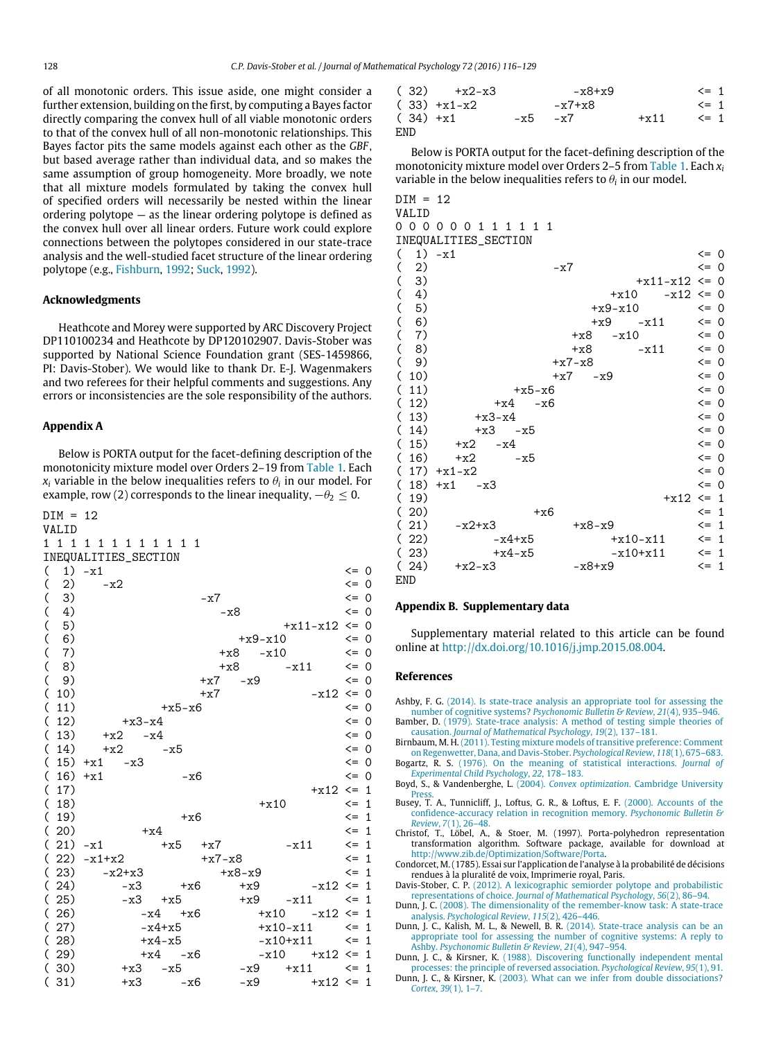of all monotonic orders. This issue aside, one might consider a further extension, building on the first, by computing a Bayes factor directly comparing the convex hull of all viable monotonic orders to that of the convex hull of all non-monotonic relationships. This Bayes factor pits the same models against each other as the *GBF* , but based average rather than individual data, and so makes the same assumption of group homogeneity. More broadly, we note that all mixture models formulated by taking the convex hull of specified orders will necessarily be nested within the linear ordering polytope — as the linear ordering polytope is defined as the convex hull over all linear orders. Future work could explore connections between the polytopes considered in our state-trace analysis and the well-studied facet structure of the linear ordering polytope (e.g., [Fishburn,](#page-13-33) [1992;](#page-13-33) [Suck,](#page-13-34) [1992\)](#page-13-34).

## **Acknowledgments**

Heathcote and Morey were supported by ARC Discovery Project DP110100234 and Heathcote by DP120102907. Davis-Stober was supported by National Science Foundation grant (SES-1459866, PI: Davis-Stober). We would like to thank Dr. E-J. Wagenmakers and two referees for their helpful comments and suggestions. Any errors or inconsistencies are the sole responsibility of the authors.

# <span id="page-12-10"></span>**Appendix A**

Below is PORTA output for the facet-defining description of the monotonicity mixture model over Orders 2–19 from [Table 1.](#page-8-0) Each  $x_i$  variable in the below inequalities refers to  $\theta_i$  in our model. For example, row (2) corresponds to the linear inequality,  $-\theta_2 \leq 0$ .

```
DIM = 12VALID
1 1 1 1 1 1 1 1 1 1 1 1
INEQUALITIES_SECTION
(1) -x1 \leq 0( 2) -x2 \leq 0(3) -x7 \leq 0(4) -x8 \leq 0( 5) +x11-x12 \le 0<br>( 6) +x9-x10 \le 0+x9-x10 \leq 0<br>
(x7) +x8-x10 \leq 0( 7) +x8 - x10 \leq 0( 8) +x8 -x11 \leq 0( 9) +x7 - x9 \leq 0( 10) +x7 -x12 \leq 0<br>( 11) +x5-x6 \leq 0( 11) +x5-x6 \leq 0(12) +x3-x4 \leq 0( 13) +x2 -x4 \leq 0( 14) +x2 -x5 \leq 0(15) +x1 -x3 \leq 0(16) +x1 -x6 \leq 0(x + x12 \leq 1<br>
(x + x10 \leq x10)<br>
(x + x10 \leq 1(18) +x10 \leq 1( 19) +x6 \leq 1( 20) +x4 \leq 1(21) -x1 +x5 +x7 -x11 \leq 1(22) -x1+x2 +x7-x8 \leq 1( 23) -x2+x3 +x8-x9 \leq 1(24) -x3 +x6 +x9 -x12 \le 1<br>(-25) -x3 +x5 +x9 -x11 \le 1(25) -x3 +x5 +x9 -x11 \leq 1(26) -x4 +x6 +x10 -x12 \le 1<br>(-27) -x4+x5 +x10-x11 \le 1(27) -x4+x5 +x10-x11(28) +x4-x5 -x10+x11 \leq 1(29) +x4 -x6 -x10 +x12 \le 1<br>(-30) +x3 -x5 -x9 +x11 \le 1(30) +x3 -x5 -x9 +x11 \leq 1( 31) +x3 - x6 -x9 +x12 \leq 1
```

|            | (32) | +x2-x3           |     | -x8+x9 |        | $\leq$ 1 |
|------------|------|------------------|-----|--------|--------|----------|
|            |      | $(33) + x1 - x2$ |     | -x7+x8 |        | $\leq$ 1 |
|            |      | $(34) + x1$      | -x5 | $-x7$  | $+x11$ | $\leq$ 1 |
| <b>END</b> |      |                  |     |        |        |          |

Below is PORTA output for the facet-defining description of the monotonicity mixture model over Orders 2–5 from [Table 1.](#page-8-0) Each *x<sup>i</sup>* variable in the below inequalities refers to  $\theta_i$  in our model.

 $DIM = 12$ 

VALID 0 0 0 0 0 0 1 1 1 1 1 1 INEQUALITIES\_SECTION

|          |      | INDQVIIDIIIDD_DOOIION |                        |           |
|----------|------|-----------------------|------------------------|-----------|
| $\left($ |      | $1) -x1$              |                        | $\leq -0$ |
| C        | 2)   |                       | $-x7$                  | $\leq 0$  |
| (        | 3)   |                       | $+x11-x12 \le 0$       |           |
| (        | 4)   |                       | $+x10$<br>$-x12 \le 0$ |           |
| (        | 5)   |                       | +x9-x10                | $\leq$ 0  |
| (        | 6)   |                       | $+x9 - x11 \le 0$      |           |
| (        | 7)   |                       | $-x10$<br>$+x8$        | $\leq$ 0  |
| (        | 8)   |                       | $+x8$<br>-x11          | $\leq$ 0  |
| (        | - 9) |                       | $+x7 - x8$             | $\leq$ 0  |
| (        | 10)  |                       | +x7 -x9                | $\leq$ 0  |
|          | (11) | +x5-x6                |                        | $\leq 0$  |
|          | (12) | $+x4$ $-x6$           |                        | $\leq 0$  |
|          | (13) | $+x3-x4$              |                        | $\leq 0$  |
|          | (14) | $+x3 - x5$            |                        | $\leq$ 0  |
|          | (15) | $+x2 - x4$            |                        | $\leq 0$  |
|          | (16) | $+x2$<br>-x5          |                        | $\leq 0$  |
|          |      | $(17) + x1-x2$        |                        | $\leq -0$ |
|          |      | $(18) +x1 -x3$        |                        | $\leq 0$  |
|          | (19) |                       | $+x12 \leq 1$          |           |
|          | (20) | $+x6$                 |                        | $\leq 1$  |
|          | (21) | $-x2+x3$              | $+x8-x9$               | $\leq 1$  |
|          | (22) | -x4+x5                | $+x10-x11$             | $\leq$ 1  |
|          | (23) | +x4-x5                | $-x10+x11$             | $\leq$ 1  |
|          | (24) | $+x2-x3$              | $-x8+x9$               | $\leq -1$ |
|          | END  |                       |                        |           |

## <span id="page-12-6"></span>**Appendix B. Supplementary data**

Supplementary material related to this article can be found online at [http://dx.doi.org/10.1016/j.jmp.2015.08.004.](http://dx.doi.org/10.1016/j.jmp.2015.08.004)

# **References**

<span id="page-12-13"></span>Ashby, F. G. [\(2014\). Is state-trace analysis an appropriate tool for assessing the](http://refhub.elsevier.com/S0022-2496(15)00052-8/sbref1) number of cognitive systems? *Psychonomic Bulletin & Review*, *21*(4), 935–946.

- <span id="page-12-0"></span>Bamber, D. [\(1979\). State-trace analysis: A method of testing simple theories of](http://refhub.elsevier.com/S0022-2496(15)00052-8/sbref2) causation. *Journal of Mathematical Psychology*, *19*(2), 137–181.
- <span id="page-12-11"></span>Birnbaum, M. H. [\(2011\). Testing mixture models of transitive preference: Comment](http://refhub.elsevier.com/S0022-2496(15)00052-8/sbref3) on Regenwetter, Dana, and Davis-Stober. *Psychological Review*, *118*(1), 675–683. Bogartz, R. S. [\(1976\). On the meaning of statistical interactions.](http://refhub.elsevier.com/S0022-2496(15)00052-8/sbref4) *Journal of*
- <span id="page-12-1"></span>*Experimental Child Psychology*, *22*, 178–183.
- <span id="page-12-8"></span>Boyd, S., & Vandenberghe, L. (2004). *Convex optimization*[. Cambridge University](http://refhub.elsevier.com/S0022-2496(15)00052-8/sbref5) Press.
- <span id="page-12-3"></span>Busey, T. A., Tunnicliff, J., Loftus, G. R., & Loftus, E. F. (2000). Accounts of the con[fidence-accuracy relation in recognition memory.](http://refhub.elsevier.com/S0022-2496(15)00052-8/sbref6) *Psychonomic Bulletin & Review*, *7*(1), 26–48.
- <span id="page-12-9"></span>Christof, T., Löbel, A., & Stoer, M. (1997). Porta-polyhedron representation transformation algorithm. Software package, available for download at [http://www.zib.de/Optimization/Software/Porta.](http://www.zib.de/Optimization/Software/Porta)
- <span id="page-12-7"></span>Condorcet, M. (1785). Essai sur l'application de l'analyse à la probabilité de décisions rendues à la pluralité de voix, Imprimerie royal, Paris.
- <span id="page-12-12"></span>Davis-Stober, C. P. [\(2012\). A lexicographic semiorder polytope and probabilistic](http://refhub.elsevier.com/S0022-2496(15)00052-8/sbref9) representations of choice. *Journal of Mathematical Psychology*, *56*(2), 86–94.
- <span id="page-12-4"></span>Dunn, J. C. [\(2008\). The dimensionality of the remember-know task: A state-trace](http://refhub.elsevier.com/S0022-2496(15)00052-8/sbref10) analysis. *Psychological Review*, *115*(2), 426–446.
- <span id="page-12-14"></span>Dunn, J. C., Kalish, M. L., & Newell, B. R. (2014). State-trace analysis can be an ap[propriate tool for assessing the number of cognitive systems: A reply to](http://refhub.elsevier.com/S0022-2496(15)00052-8/sbref11) Ashby. *Psychonomic Bulletin & Review*, *21*(4), 947–954.

<span id="page-12-2"></span>Dunn, J. C., & Kirsner, K. [\(1988\). Discovering functionally independent mental](http://refhub.elsevier.com/S0022-2496(15)00052-8/sbref12) processes: the principle of reversed association. *Psychological Review*, *95*(1), 91.

<span id="page-12-5"></span>Dunn, J. C., & Kirsner, K. [\(2003\). What can we infer from double dissociations?](http://refhub.elsevier.com/S0022-2496(15)00052-8/sbref13) *Cortex*, *39*(1), 1–7.